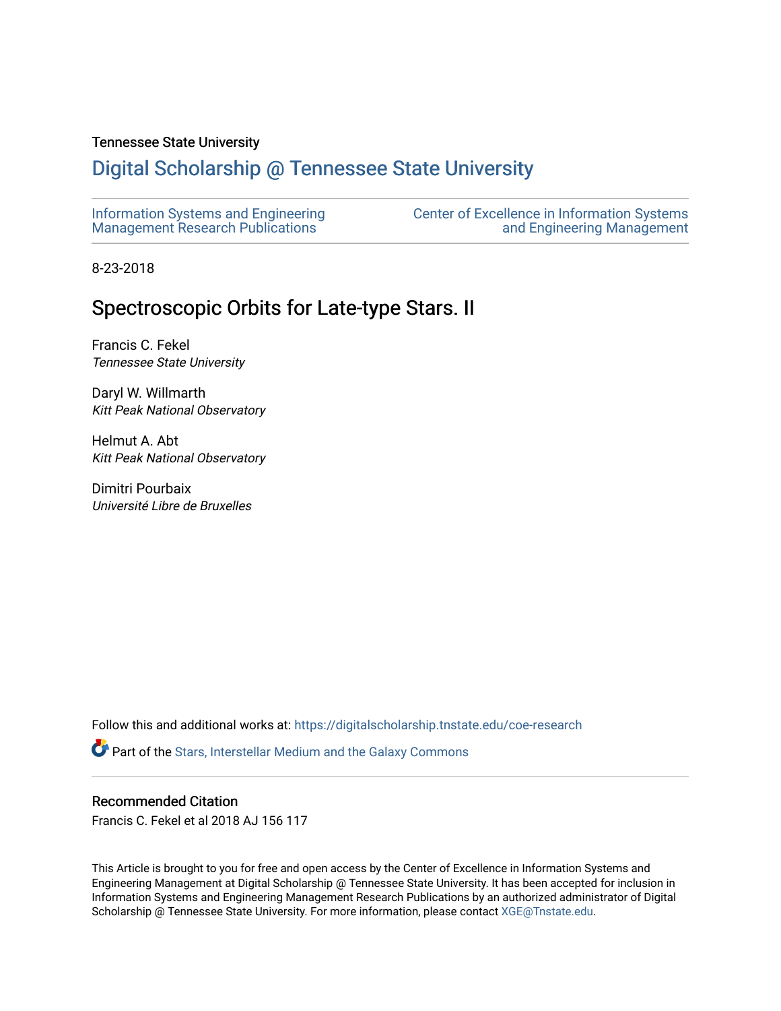## Tennessee State University

# [Digital Scholarship @ Tennessee State University](https://digitalscholarship.tnstate.edu/)

| Information Systems and Engineering | <b>Center of Excellence in Information Systems</b> |
|-------------------------------------|----------------------------------------------------|
| Management Research Publications    | and Engineering Management                         |

8-23-2018

# Spectroscopic Orbits for Late-type Stars. II

Francis C. Fekel Tennessee State University

Daryl W. Willmarth Kitt Peak National Observatory

Helmut A. Abt Kitt Peak National Observatory

Dimitri Pourbaix Université Libre de Bruxelles

Follow this and additional works at: [https://digitalscholarship.tnstate.edu/coe-research](https://digitalscholarship.tnstate.edu/coe-research?utm_source=digitalscholarship.tnstate.edu%2Fcoe-research%2F365&utm_medium=PDF&utm_campaign=PDFCoverPages) 

Part of the [Stars, Interstellar Medium and the Galaxy Commons](http://network.bepress.com/hgg/discipline/127?utm_source=digitalscholarship.tnstate.edu%2Fcoe-research%2F365&utm_medium=PDF&utm_campaign=PDFCoverPages) 

## Recommended Citation

Francis C. Fekel et al 2018 AJ 156 117

This Article is brought to you for free and open access by the Center of Excellence in Information Systems and Engineering Management at Digital Scholarship @ Tennessee State University. It has been accepted for inclusion in Information Systems and Engineering Management Research Publications by an authorized administrator of Digital Scholarship @ Tennessee State University. For more information, please contact [XGE@Tnstate.edu](mailto:XGE@Tnstate.edu).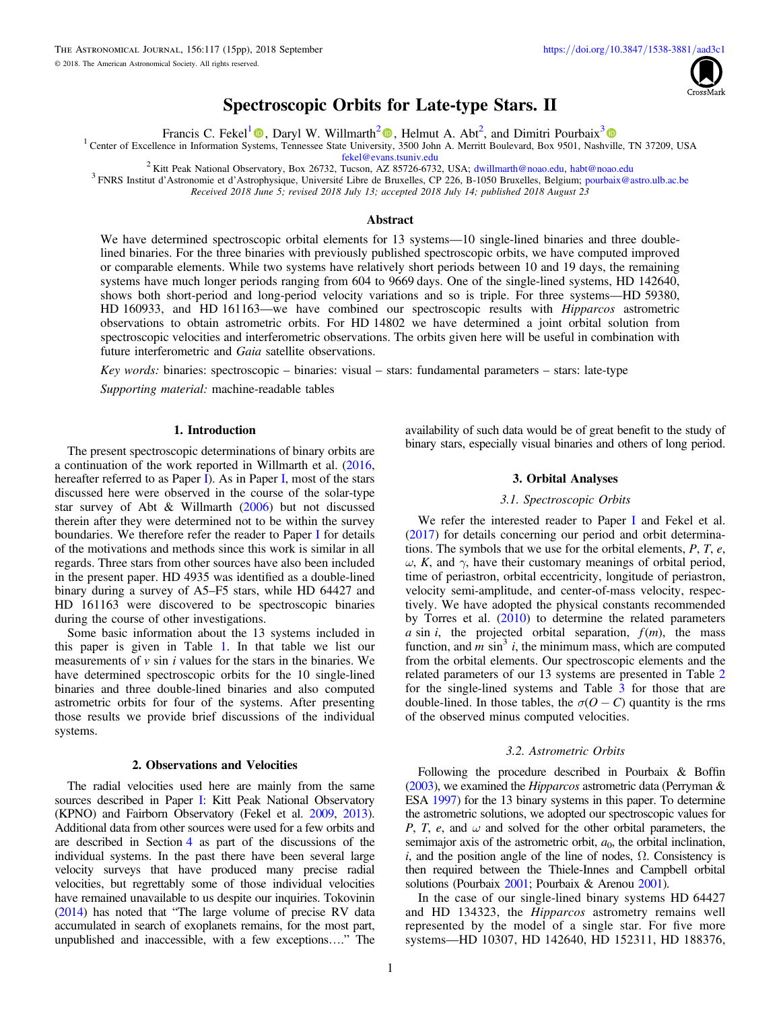

# Spectroscopic Orbits for Late-type Stars. II

Francis C. Fekel<sup>[1](https://orcid.org/0000-0002-9413-3896)</sup>  $\Phi$ [,](https://orcid.org/0000-0002-4937-7015) Daryl W. Willmarth<sup>[2](https://orcid.org/0000-0002-4937-7015)</sup>  $\Phi$ , Helmut A. Abt<sup>2</sup>, and Dimitri Pourbaix<sup>[3](https://orcid.org/0000-0002-3020-1837)</sup>

<sup>1</sup> Center of Excellence in Information Sy[stem](https://orcid.org/0000-0002-9413-3896)s, Tennessee State Univers[ity,](https://orcid.org/0000-0002-4937-7015) 3500 John A. Merritt Boulevard, Box 9501, Nash[ville](https://orcid.org/0000-0002-3020-1837), TN 37209, USA

Fekel@evans.tsuniv.edu<br><sup>2</sup> Kitt Peak National Observatory, Box 26732, Tucson, AZ 85726-6732, USA; [dwillmarth@noao.edu,](mailto:dwillmarth@noao.edu) [habt@noao.edu](mailto:habt@noao.edu)<br><sup>3</sup> FNRS Institut d'Astronomie et d'Astrophysique, Université Libre de Bruxelles, CP 226, Received 2018 June 5; revised 2018 July 13; accepted 2018 July 14; published 2018 August 23

#### **Abstract**

We have determined spectroscopic orbital elements for 13 systems—10 single-lined binaries and three doublelined binaries. For the three binaries with previously published spectroscopic orbits, we have computed improved or comparable elements. While two systems have relatively short periods between 10 and 19 days, the remaining systems have much longer periods ranging from 604 to 9669 days. One of the single-lined systems, HD 142640, shows both short-period and long-period velocity variations and so is triple. For three systems—HD 59380, HD 160933, and HD 161163—we have combined our spectroscopic results with *Hipparcos* astrometric observations to obtain astrometric orbits. For HD 14802 we have determined a joint orbital solution from spectroscopic velocities and interferometric observations. The orbits given here will be useful in combination with future interferometric and Gaia satellite observations.

Key words: binaries: spectroscopic – binaries: visual – stars: fundamental parameters – stars: late-type

Supporting material: machine-readable tables

#### 1. Introduction

The present spectroscopic determinations of binary orbits are a continuation of the work reported in Willmarth et al. ([2016,](#page-15-0) hereafter referred to as Paper [I](#page-15-0)). As in Paper [I,](#page-15-0) most of the stars discussed here were observed in the course of the solar-type star survey of Abt & Willmarth ([2006](#page-14-0)) but not discussed therein after they were determined not to be within the survey boundaries. We therefore refer the reader to Paper [I](#page-15-0) for details of the motivations and methods since this work is similar in all regards. Three stars from other sources have also been included in the present paper. HD 4935 was identified as a double-lined binary during a survey of A5–F5 stars, while HD 64427 and HD 161163 were discovered to be spectroscopic binaries during the course of other investigations.

Some basic information about the 13 systems included in this paper is given in Table [1.](#page-2-0) In that table we list our measurements of  $v \sin i$  values for the stars in the binaries. We have determined spectroscopic orbits for the 10 single-lined binaries and three double-lined binaries and also computed astrometric orbits for four of the systems. After presenting those results we provide brief discussions of the individual systems.

#### 2. Observations and Velocities

The radial velocities used here are mainly from the same sources described in Paper [I](#page-15-0): Kitt Peak National Observatory (KPNO) and Fairborn Observatory (Fekel et al. [2009,](#page-14-0) [2013](#page-14-0)). Additional data from other sources were used for a few orbits and are described in Section [4](#page-2-0) as part of the discussions of the individual systems. In the past there have been several large velocity surveys that have produced many precise radial velocities, but regrettably some of those individual velocities have remained unavailable to us despite our inquiries. Tokovinin ([2014](#page-14-0)) has noted that "The large volume of precise RV data accumulated in search of exoplanets remains, for the most part, unpublished and inaccessible, with a few exceptions...." The

availability of such data would be of great benefit to the study of binary stars, especially visual binaries and others of long period.

#### 3. Orbital Analyses

#### 3.1. Spectroscopic Orbits

We refer the interested reader to Paper [I](#page-15-0) and Fekel et al. ([2017](#page-14-0)) for details concerning our period and orbit determinations. The symbols that we use for the orbital elements, P, T, e,  $ω$ , K, and  $γ$ , have their customary meanings of orbital period, time of periastron, orbital eccentricity, longitude of periastron, velocity semi-amplitude, and center-of-mass velocity, respectively. We have adopted the physical constants recommended by Torres et al. ([2010](#page-15-0)) to determine the related parameters a sin i, the projected orbital separation,  $f(m)$ , the mass function, and  $m \sin^3 i$ , the minimum mass, which are computed from the orbital elements. Our spectroscopic elements and the related parameters of our 13 systems are presented in Table [2](#page-3-0) for the single-lined systems and Table [3](#page-4-0) for those that are double-lined. In those tables, the  $\sigma(O - C)$  quantity is the rms of the observed minus computed velocities.

#### 3.2. Astrometric Orbits

Following the procedure described in Pourbaix & Boffin ([2003](#page-14-0)), we examined the Hipparcos astrometric data (Perryman & ESA [1997](#page-14-0)) for the 13 binary systems in this paper. To determine the astrometric solutions, we adopted our spectroscopic values for P, T, e, and  $\omega$  and solved for the other orbital parameters, the semimajor axis of the astrometric orbit,  $a<sub>0</sub>$ , the orbital inclination, i, and the position angle of the line of nodes,  $\Omega$ . Consistency is then required between the Thiele-Innes and Campbell orbital solutions (Pourbaix [2001;](#page-14-0) Pourbaix & Arenou [2001](#page-14-0)).

In the case of our single-lined binary systems HD 64427 and HD 134323, the Hipparcos astrometry remains well represented by the model of a single star. For five more systems—HD 10307, HD 142640, HD 152311, HD 188376,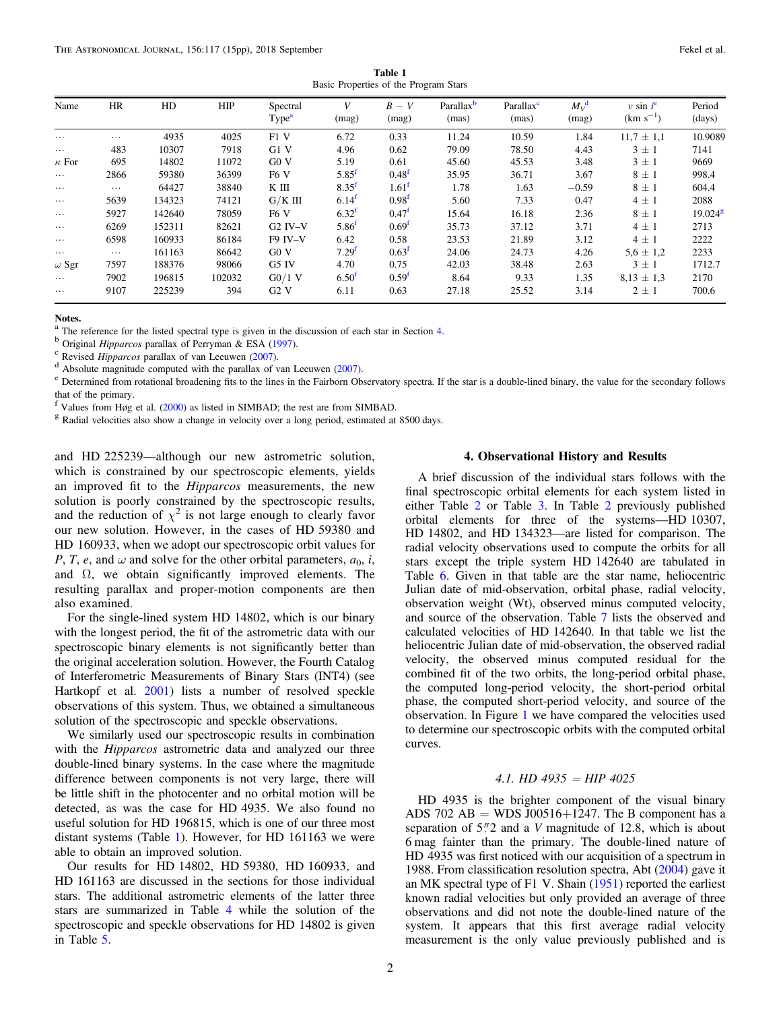Table 1 Basic Properties of the Program Stars

<span id="page-2-0"></span>

| Name         | HR       | HD     | <b>HIP</b> | Spectral<br>Type <sup>a</sup> | V<br>(mag)          | $B-V$<br>(mag)                   | Parallax <sup>b</sup><br>(mas) | Parallax <sup>c</sup><br>(mas) | $M_V^{\rm d}$<br>(mag) | $v \sin i^e$<br>$(km s^{-1})$ | Period<br>(days) |
|--------------|----------|--------|------------|-------------------------------|---------------------|----------------------------------|--------------------------------|--------------------------------|------------------------|-------------------------------|------------------|
| $\cdots$     | $\cdots$ | 4935   | 4025       | F1V                           | 6.72                | 0.33                             | 11.24                          | 10.59                          | 1.84                   | $11.7 \pm 1.1$                | 10.9089          |
| $\cdots$     | 483      | 10307  | 7918       | G1V                           | 4.96                | 0.62                             | 79.09                          | 78.50                          | 4.43                   | $3 \pm 1$                     | 7141             |
| $\kappa$ For | 695      | 14802  | 11072      | G0V                           | 5.19                | 0.61                             | 45.60                          | 45.53                          | 3.48                   | $3 \pm 1$                     | 9669             |
| $\cdots$     | 2866     | 59380  | 36399      | F <sub>6</sub> V              | $5.85^{\mathrm{t}}$ | $0.48^{t}$                       | 35.95                          | 36.71                          | 3.67                   | $8 \pm 1$                     | 998.4            |
| $\cdots$     | $\cdots$ | 64427  | 38840      | K III                         | $8.35^{\rm t}$      | $1.61$ <sup><math>1</math></sup> | 1.78                           | 1.63                           | $-0.59$                | $8 \pm 1$                     | 604.4            |
| $\cdots$     | 5639     | 134323 | 74121      | $G/K$ III                     | $6.14$ <sup>f</sup> | 0.98 <sup>f</sup>                | 5.60                           | 7.33                           | 0.47                   | $4 \pm 1$                     | 2088             |
| $\cdots$     | 5927     | 142640 | 78059      | F <sub>6</sub> V              | $6.32^{t}$          | $0.47^{\mathrm{t}}$              | 15.64                          | 16.18                          | 2.36                   | $8 \pm 1$                     | $19.024^{\circ}$ |
| $\cdots$     | 6269     | 152311 | 82621      | $G2$ IV-V                     | $5.86^{t}$          | $0.69$ <sup>t</sup>              | 35.73                          | 37.12                          | 3.71                   | $4 \pm 1$                     | 2713             |
| $\cdots$     | 6598     | 160933 | 86184      | F9 IV-V                       | 6.42                | 0.58                             | 23.53                          | 21.89                          | 3.12                   | $4 \pm 1$                     | 2222             |
| $\cdots$     | $\cdots$ | 161163 | 86642      | G0V                           | $7.29^{t}$          | $0.63^{\rm t}$                   | 24.06                          | 24.73                          | 4.26                   | $5.6 \pm 1.2$                 | 2233             |
| $\omega$ Sgr | 7597     | 188376 | 98066      | G5 IV                         | 4.70                | 0.75                             | 42.03                          | 38.48                          | 2.63                   | $3 \pm 1$                     | 1712.7           |
| $\cdots$     | 7902     | 196815 | 102032     | $G0/1$ V                      | $6.50^{1}$          | 0.59 <sup>f</sup>                | 8.64                           | 9.33                           | 1.35                   | $8.13 \pm 1.3$                | 2170             |
| $\cdots$     | 9107     | 225239 | 394        | G2V                           | 6.11                | 0.63                             | 27.18                          | 25.52                          | 3.14                   | $2 \pm 1$                     | 700.6            |

Notes.<br><sup>a</sup> The reference for the listed spectral type is given in the discussion of each star in Section 4.

<sup>b</sup> Original *Hipparcos* parallax of Perryman & ESA ([1997](#page-14-0)).<br>
<sup>c</sup> Revised *Hipparcos* parallax of van Leeuwen ([2007](#page-15-0)).<br>
<sup>d</sup> Absolute magnitude computed with the parallax of van Leeuwen (2007).<br>
<sup>e</sup> Determined from rotationa that of the primary.<br> $f$  Values from Høg et al. (2000) as listed in SIMBAD; the rest are from SIMBAD.

<sup>g</sup> Radial velocities also show a change in velocity over a long period, estimated at 8500 days.

and HD 225239—although our new astrometric solution, which is constrained by our spectroscopic elements, yields an improved fit to the *Hipparcos* measurements, the new solution is poorly constrained by the spectroscopic results, and the reduction of  $\chi^2$  is not large enough to clearly favor our new solution. However, in the cases of HD 59380 and HD 160933, when we adopt our spectroscopic orbit values for P, T, e, and  $\omega$  and solve for the other orbital parameters,  $a_0$ , i, and  $\Omega$ , we obtain significantly improved elements. The resulting parallax and proper-motion components are then also examined.

For the single-lined system HD 14802, which is our binary with the longest period, the fit of the astrometric data with our spectroscopic binary elements is not significantly better than the original acceleration solution. However, the Fourth Catalog of Interferometric Measurements of Binary Stars (INT4) (see Hartkopf et al. [2001](#page-14-0)) lists a number of resolved speckle observations of this system. Thus, we obtained a simultaneous solution of the spectroscopic and speckle observations.

We similarly used our spectroscopic results in combination with the *Hipparcos* astrometric data and analyzed our three double-lined binary systems. In the case where the magnitude difference between components is not very large, there will be little shift in the photocenter and no orbital motion will be detected, as was the case for HD 4935. We also found no useful solution for HD 196815, which is one of our three most distant systems (Table 1). However, for HD 161163 we were able to obtain an improved solution.

Our results for HD 14802, HD 59380, HD 160933, and HD 161163 are discussed in the sections for those individual stars. The additional astrometric elements of the latter three stars are summarized in Table [4](#page-4-0) while the solution of the spectroscopic and speckle observations for HD 14802 is given in Table [5.](#page-4-0)

#### 4. Observational History and Results

A brief discussion of the individual stars follows with the final spectroscopic orbital elements for each system listed in either Table [2](#page-3-0) or Table [3.](#page-4-0) In Table [2](#page-3-0) previously published orbital elements for three of the systems—HD 10307, HD 14802, and HD 134323—are listed for comparison. The radial velocity observations used to compute the orbits for all stars except the triple system HD 142640 are tabulated in Table [6](#page-5-0). Given in that table are the star name, heliocentric Julian date of mid-observation, orbital phase, radial velocity, observation weight (Wt), observed minus computed velocity, and source of the observation. Table [7](#page-6-0) lists the observed and calculated velocities of HD 142640. In that table we list the heliocentric Julian date of mid-observation, the observed radial velocity, the observed minus computed residual for the combined fit of the two orbits, the long-period orbital phase, the computed long-period velocity, the short-period orbital phase, the computed short-period velocity, and source of the observation. In Figure [1](#page-7-0) we have compared the velocities used to determine our spectroscopic orbits with the computed orbital curves.

#### 4.1. HD  $4935 = HIP$   $4025$

HD 4935 is the brighter component of the visual binary ADS 702  $AB = WDS J00516+1247$ . The B component has a separation of  $5\frac{1}{2}$  and a V magnitude of 12.8, which is about 6 mag fainter than the primary. The double-lined nature of HD 4935 was first noticed with our acquisition of a spectrum in 1988. From classification resolution spectra, Abt ([2004](#page-14-0)) gave it an MK spectral type of F1 V. Shain ([1951](#page-14-0)) reported the earliest known radial velocities but only provided an average of three observations and did not note the double-lined nature of the system. It appears that this first average radial velocity measurement is the only value previously published and is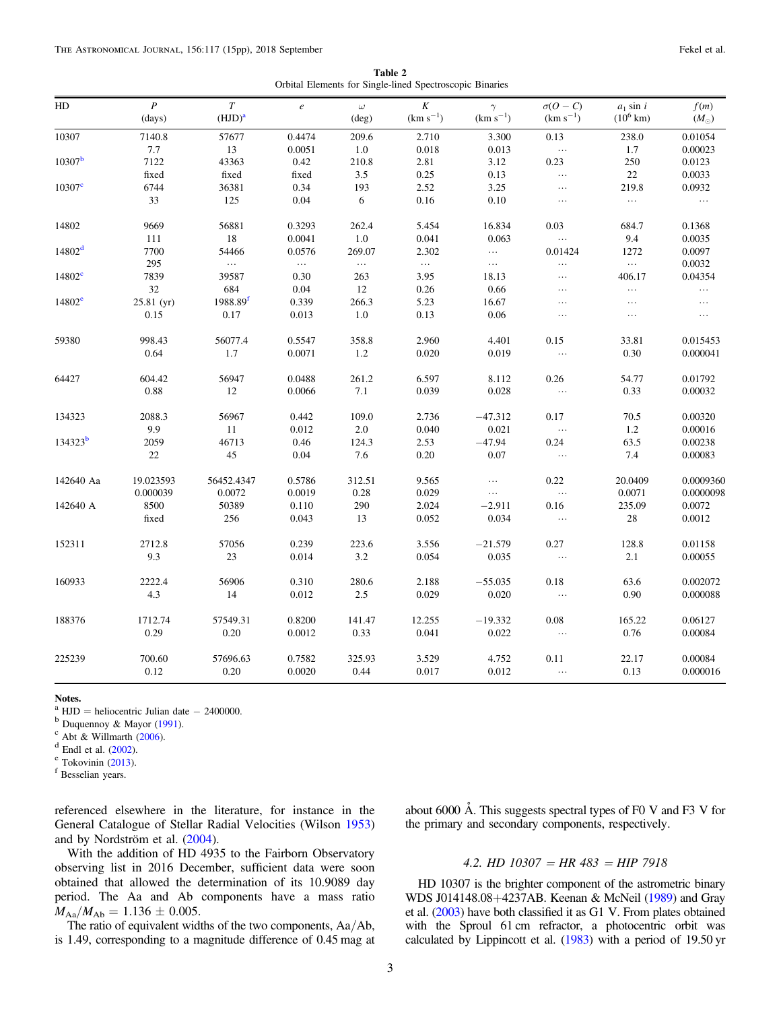Table 2 Orbital Elements for Single-lined Spectroscopic Binaries

<span id="page-3-0"></span>

| HD                   | $\boldsymbol{P}$ | $\cal T$             | $\boldsymbol{e}$ | $\omega$       | $\cal K$      | $\gamma$<br>(km s <sup>-1</sup> ) | $\sigma(O-C)$ | $a_1$ sin i         | f(m)          |
|----------------------|------------------|----------------------|------------------|----------------|---------------|-----------------------------------|---------------|---------------------|---------------|
|                      | (days)           | $(HJD)^a$            |                  | $(\text{deg})$ | $(km s^{-1})$ |                                   | $(km s^{-1})$ | $(10^6 \text{ km})$ | $(M_{\odot})$ |
| 10307                | 7140.8           | 57677                | 0.4474           | 209.6          | 2.710         | 3.300                             | 0.13          | 238.0               | 0.01054       |
|                      | $7.7\,$          | 13                   | 0.0051           | $1.0\,$        | 0.018         | 0.013                             | $\ldots$      | 1.7                 | 0.00023       |
| 10307 <sup>b</sup>   | 7122             | 43363                | 0.42             | 210.8          | 2.81          | 3.12                              | 0.23          | 250                 | 0.0123        |
|                      | fixed            | fixed                | fixed            | 3.5            | 0.25          | 0.13                              | $\ldots$      | $22\,$              | 0.0033        |
| $10307$ <sup>c</sup> | 6744             | 36381                | 0.34             | 193            | 2.52          | 3.25                              | $\ldots$      | 219.8               | 0.0932        |
|                      | 33               | 125                  | 0.04             | 6              | 0.16          | 0.10                              | $\ldots$      | $\ldots$            | $\dots$       |
| 14802                | 9669             | 56881                | 0.3293           | 262.4          | 5.454         | 16.834                            | 0.03          | 684.7               | 0.1368        |
|                      | 111              | 18                   | 0.0041           | $1.0\,$        | 0.041         | 0.063                             | $\ldots$      | 9.4                 | 0.0035        |
| 14802 <sup>d</sup>   | 7700             | 54466                | 0.0576           | 269.07         | 2.302         | $\ldots$                          | 0.01424       | 1272                | 0.0097        |
|                      | 295              | $\ldots$             | $\ldots$         | $\ldots$       | $\ldots$      | $\ldots$                          | $\ldots$      | $\ldots$            | 0.0032        |
| 14802 <sup>c</sup>   | 7839             | 39587                | 0.30             | 263            | 3.95          | 18.13                             | $\ldots$      | 406.17              | 0.04354       |
|                      | 32               | 684                  | 0.04             | 12             | $0.26\,$      | 0.66                              | $\ldots$      | $\ldots$            | $\ldots$      |
| $14802^{\circ}$      | $25.81$ (yr)     | 1988.89 <sup>f</sup> | 0.339            | 266.3          | 5.23          | 16.67                             | $\ldots$      | $\ldots$            | $\ldots$      |
|                      | 0.15             | 0.17                 | 0.013            | $1.0\,$        | 0.13          | $0.06\,$                          | $\cdots$      | $\ldots$            | $\ldots$      |
| 59380                | 998.43           | 56077.4              | 0.5547           | 358.8          | 2.960         | 4.401                             | 0.15          | 33.81               | 0.015453      |
|                      | 0.64             | 1.7                  | 0.0071           | 1.2            | 0.020         | 0.019                             | $\ldots$      | 0.30                | 0.000041      |
| 64427                | 604.42           | 56947                | 0.0488           | 261.2          | 6.597         | 8.112                             | 0.26          | 54.77               | 0.01792       |
|                      | $0.88\,$         | 12                   | 0.0066           | $7.1\,$        | 0.039         | 0.028                             | $\dots$       | 0.33                | 0.00032       |
| 134323               | 2088.3           | 56967                | 0.442            | 109.0          | 2.736         | $-47.312$                         | 0.17          | 70.5                | 0.00320       |
|                      | 9.9              | 11                   | 0.012            | 2.0            | 0.040         | 0.021                             | $\ldots$      | 1.2                 | 0.00016       |
| $134323^b$           | 2059             | 46713                | 0.46             | 124.3          | 2.53          | $-47.94$                          | 0.24          | 63.5                | 0.00238       |
|                      | $22\,$           | 45                   | 0.04             | 7.6            | 0.20          | 0.07                              | $\ldots$      | 7.4                 | 0.00083       |
| 142640 Aa            | 19.023593        | 56452.4347           | 0.5786           | 312.51         | 9.565         | $\ldots$                          | 0.22          | 20.0409             | 0.0009360     |
|                      | 0.000039         | 0.0072               | 0.0019           | 0.28           | 0.029         | $\ldots$                          | $\ldots$      | 0.0071              | 0.0000098     |
| 142640 A             | 8500             | 50389                | 0.110            | 290            | 2.024         | $-2.911$                          | 0.16          | 235.09              | 0.0072        |
|                      | fixed            | 256                  | 0.043            | 13             | 0.052         | 0.034                             | $\ldots$      | $28\,$              | 0.0012        |
| 152311               | 2712.8           | 57056                | 0.239            | 223.6          | 3.556         | $-21.579$                         | 0.27          | 128.8               | 0.01158       |
|                      | 9.3              | 23                   | 0.014            | 3.2            | 0.054         | 0.035                             | $\ldots$      | 2.1                 | 0.00055       |
| 160933               | 2222.4           | 56906                | 0.310            | 280.6          | 2.188         | $-55.035$                         | $0.18\,$      | 63.6                | 0.002072      |
|                      | 4.3              | 14                   | 0.012            | 2.5            | 0.029         | 0.020                             | $\ldots$      | 0.90                | 0.000088      |
| 188376               | 1712.74          | 57549.31             | 0.8200           | 141.47         | 12.255        | $-19.332$                         | 0.08          | 165.22              | 0.06127       |
|                      | 0.29             | 0.20                 | 0.0012           | 0.33           | 0.041         | 0.022                             | $\dots$       | 0.76                | 0.00084       |
| 225239               | 700.60           | 57696.63             | 0.7582           | 325.93         | 3.529         | 4.752                             | 0.11          | 22.17               | 0.00084       |
|                      | 0.12             | 0.20                 | 0.0020           | 0.44           | 0.017         | 0.012                             | $\ldots$      | 0.13                | 0.000016      |

#### Notes.

<sup>a</sup> HJD = heliocentric Julian date − 2400000.<br><sup>b</sup> Duquennoy & Mayor ([1991](#page-14-0)).<br><sup>c</sup> Abt & Willmarth ([2006](#page-14-0)).<br><sup>d</sup> Endl et al. ([2002](#page-14-0)).<br><sup>e</sup> Tokovinin ([2013](#page-14-0)). f Besselian years.

referenced elsewhere in the literature, for instance in the General Catalogue of Stellar Radial Velocities (Wilson [1953](#page-15-0)) and by Nordström et al. ([2004](#page-14-0)).

With the addition of HD 4935 to the Fairborn Observatory observing list in 2016 December, sufficient data were soon obtained that allowed the determination of its 10.9089 day period. The Aa and Ab components have a mass ratio  $M_{\rm Aa}/M_{\rm Ab} = 1.136 \pm 0.005.$ 

The ratio of equivalent widths of the two components, Aa/Ab, is 1.49, corresponding to a magnitude difference of 0.45 mag at about 6000 Å. This suggests spectral types of F0 V and F3 V for the primary and secondary components, respectively.

#### 4.2. HD  $10307 = HR 483 = HIP 7918$

HD 10307 is the brighter component of the astrometric binary WDS J014148.08+4237AB. Keenan & McNeil ([1989](#page-14-0)) and Gray et al. ([2003](#page-14-0)) have both classified it as G1 V. From plates obtained with the Sproul 61 cm refractor, a photocentric orbit was calculated by Lippincott et al. ([1983](#page-14-0)) with a period of 19.50 yr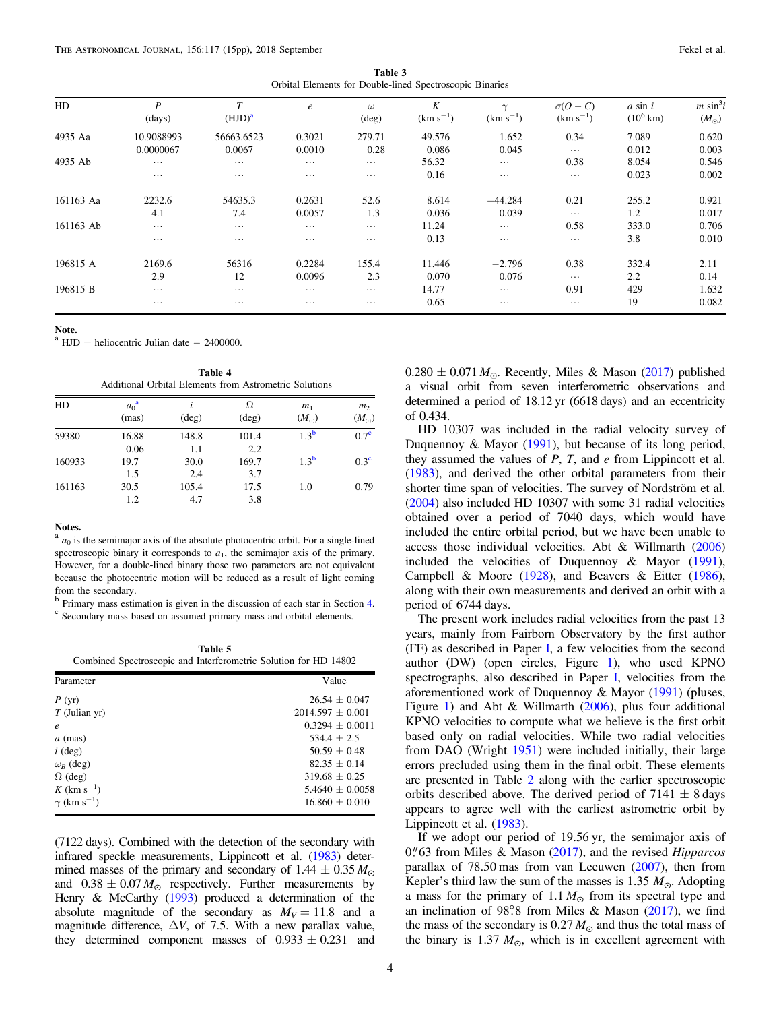Table 3 Orbital Elements for Double-lined Spectroscopic Binaries

<span id="page-4-0"></span>

| HD        | P<br>(days) | $(HJD)^a$  | $\boldsymbol{e}$ | $\omega$<br>$(\text{deg})$ | K<br>$(km s^{-1})$ | $\gamma$<br>$(km s^{-1})$ | $\sigma(O-C)$<br>$(km s^{-1})$ | $a \sin i$<br>$(10^6 \text{ km})$ | $m \sin^3 i$<br>$(M_{\odot})$ |
|-----------|-------------|------------|------------------|----------------------------|--------------------|---------------------------|--------------------------------|-----------------------------------|-------------------------------|
| 4935 Aa   | 10.9088993  | 56663.6523 | 0.3021           | 279.71                     | 49.576             | 1.652                     | 0.34                           | 7.089                             | 0.620                         |
|           | 0.0000067   | 0.0067     | 0.0010           | 0.28                       | 0.086              | 0.045                     | $\cdots$                       | 0.012                             | 0.003                         |
| 4935 Ab   | $\cdots$    | $\cdots$   | .                | $\cdots$                   | 56.32              | $\cdots$                  | 0.38                           | 8.054                             | 0.546                         |
|           | $\cdots$    | $\cdots$   | $\cdots$         | $\cdots$                   | 0.16               | $\cdots$                  | $\cdots$                       | 0.023                             | 0.002                         |
| 161163 Aa | 2232.6      | 54635.3    | 0.2631           | 52.6                       | 8.614              | $-44.284$                 | 0.21                           | 255.2                             | 0.921                         |
|           | 4.1         | 7.4        | 0.0057           | 1.3                        | 0.036              | 0.039                     | $\cdots$                       | 1.2                               | 0.017                         |
| 161163 Ab | $\cdots$    | $\cdots$   | $\cdots$         | $\cdots$                   | 11.24              | $\cdots$                  | 0.58                           | 333.0                             | 0.706                         |
|           | $\cdots$    | $\cdots$   | $\cdots$         | $\cdots$                   | 0.13               | $\cdots$                  | $\cdots$                       | 3.8                               | 0.010                         |
| 196815 A  | 2169.6      | 56316      | 0.2284           | 155.4                      | 11.446             | $-2.796$                  | 0.38                           | 332.4                             | 2.11                          |
|           | 2.9         | 12         | 0.0096           | 2.3                        | 0.070              | 0.076                     | $\cdots$                       | 2.2                               | 0.14                          |
| 196815 B  | $\cdots$    | $\cdots$   | $\cdots$         | $\cdots$                   | 14.77              | $\cdots$                  | 0.91                           | 429                               | 1.632                         |
|           | $\cdots$    | $\cdots$   | $\cdots$         | $\cdots$                   | 0.65               | $\cdots$                  | $\cdots$                       | 19                                | 0.082                         |

Note.

 $a^a$  HJD = heliocentric Julian date – 2400000.

Table 4 Additional Orbital Elements from Astrometric Solutions

| HD     | $a_0^{\mathbf{a}}$<br>(mas) | i<br>$(\text{deg})$ | Ω<br>$(\text{deg})$ | m <sub>1</sub><br>$(M_{\odot})$ | m <sub>2</sub><br>$(M_{\odot})$ |
|--------|-----------------------------|---------------------|---------------------|---------------------------------|---------------------------------|
| 59380  | 16.88<br>0.06               | 148.8<br>1.1        | 101.4<br>2.2        | $1.3^{\rm b}$                   | 0.7 <sup>c</sup>                |
| 160933 | 19.7                        | 30.0                | 169.7               | $1.3^{\rm b}$                   | 0.3 <sup>c</sup>                |
| 161163 | 1.5<br>30.5<br>1.2          | 2.4<br>105.4<br>4.7 | 3.7<br>17.5<br>3.8  | 1.0                             | 0.79                            |

#### Notes.

 $a_0$  is the semimajor axis of the absolute photocentric orbit. For a single-lined spectroscopic binary it corresponds to  $a_1$ , the semimajor axis of the primary. However, for a double-lined binary those two parameters are not equivalent because the photocentric motion will be reduced as a result of light coming from the secondary.

 $\rm^b$  Primary mass estimation is given in the discussion of each star in Section [4.](#page-2-0)  $\rm^c$  Secondary mass based on assumed primary mass and orbital elements.

Table 5 Combined Spectroscopic and Interferometric Solution for HD 14802

| Parameter                      | Value                |
|--------------------------------|----------------------|
| P(yr)                          | $26.54 \pm 0.047$    |
| $T$ (Julian yr)                | $2014.597 \pm 0.001$ |
| $\boldsymbol{e}$               | $0.3294 \pm 0.0011$  |
| $a$ (mas)                      | $534.4 \pm 2.5$      |
| $i$ (deg)                      | $50.59 \pm 0.48$     |
| $\omega_R$ (deg)               | $82.35 + 0.14$       |
| $\Omega$ (deg)                 | $319.68 \pm 0.25$    |
| $K$ (km s <sup>-1</sup> )      | $5.4640 \pm 0.0058$  |
| $\gamma$ (km s <sup>-1</sup> ) | $16.860 + 0.010$     |
|                                |                      |

(7122 days). Combined with the detection of the secondary with infrared speckle measurements, Lippincott et al. ([1983](#page-14-0)) determined masses of the primary and secondary of  $1.44 \pm 0.35 M_{\odot}$ and  $0.38 \pm 0.07 M_{\odot}$  respectively. Further measurements by Henry & McCarthy ([1993](#page-14-0)) produced a determination of the absolute magnitude of the secondary as  $M_V = 11.8$  and a magnitude difference,  $\Delta V$ , of 7.5. With a new parallax value, they determined component masses of  $0.933 \pm 0.231$  and  $0.280 \pm 0.071 M_{\odot}$ . Recently, Miles & Mason ([2017](#page-14-0)) published a visual orbit from seven interferometric observations and determined a period of 18.12 yr (6618 days) and an eccentricity of 0.434.

HD 10307 was included in the radial velocity survey of Duquennoy & Mayor ([1991](#page-14-0)), but because of its long period, they assumed the values of  $P$ ,  $T$ , and  $e$  from Lippincott et al. ([1983](#page-14-0)), and derived the other orbital parameters from their shorter time span of velocities. The survey of Nordström et al. ([2004](#page-14-0)) also included HD 10307 with some 31 radial velocities obtained over a period of 7040 days, which would have included the entire orbital period, but we have been unable to access those individual velocities. Abt & Willmarth ([2006](#page-14-0)) included the velocities of Duquennoy  $\&$  Mayor ([1991](#page-14-0)), Campbell & Moore ([1928](#page-14-0)), and Beavers & Eitter ([1986](#page-14-0)), along with their own measurements and derived an orbit with a period of 6744 days.

The present work includes radial velocities from the past 13 years, mainly from Fairborn Observatory by the first author (FF) as described in Paper [I](#page-15-0), a few velocities from the second author (DW) (open circles, Figure [1](#page-7-0)), who used KPNO spectrographs, also described in Paper [I](#page-15-0), velocities from the aforementioned work of Duquennoy & Mayor ([1991](#page-14-0)) (pluses, Figure [1](#page-7-0)) and Abt & Willmarth ([2006](#page-14-0)), plus four additional KPNO velocities to compute what we believe is the first orbit based only on radial velocities. While two radial velocities from DAO (Wright [1951](#page-15-0)) were included initially, their large errors precluded using them in the final orbit. These elements are presented in Table [2](#page-3-0) along with the earlier spectroscopic orbits described above. The derived period of 7141  $\pm$  8 days appears to agree well with the earliest astrometric orbit by Lippincott et al. ([1983](#page-14-0)).

If we adopt our period of 19.56 yr, the semimajor axis of  $0$ ."63 from Miles & Mason ([2017](#page-14-0)), and the revised *Hipparcos* parallax of  $78.50$  mas from van Leeuwen  $(2007)$  $(2007)$  $(2007)$ , then from Kepler's third law the sum of the masses is 1.35  $M_{\odot}$ . Adopting a mass for the primary of  $1.1 M_{\odot}$  from its spectral type and an inclination of 98°.8 from Miles & Mason  $(2017)$  $(2017)$  $(2017)$ , we find the mass of the secondary is 0.27  $M_{\odot}$  and thus the total mass of the binary is 1.37  $M_{\odot}$ , which is in excellent agreement with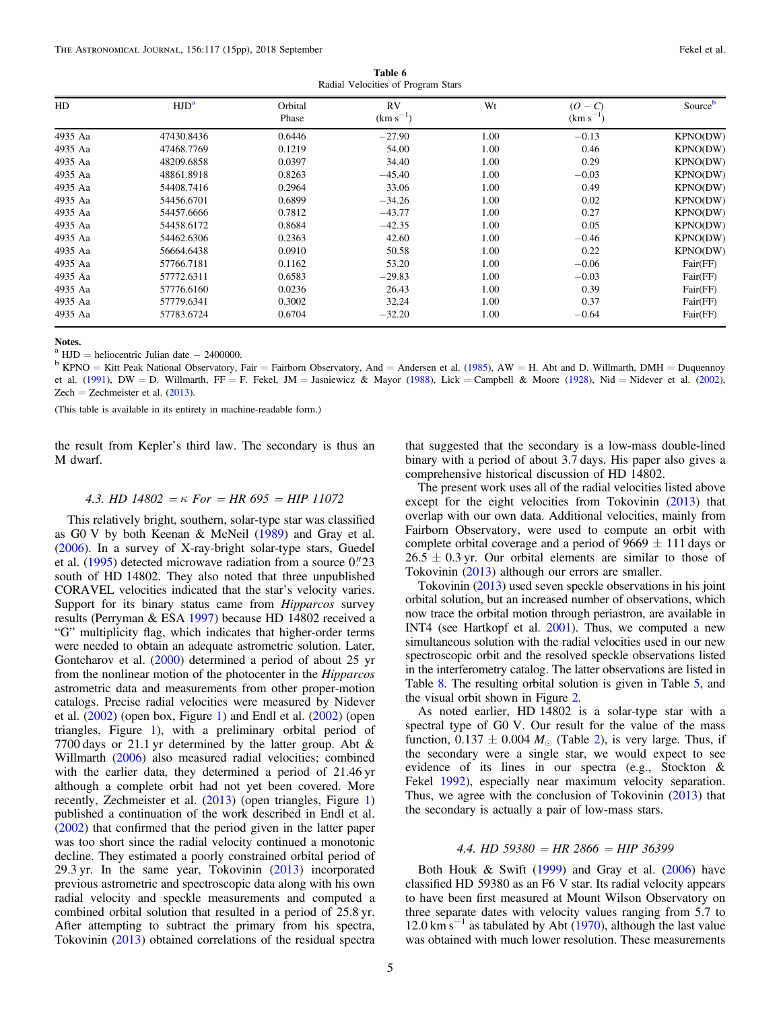Table 6 Radial Velocities of Program Stars

<span id="page-5-0"></span>

| HD      | HJD <sup>a</sup> | Orbital<br>Phase | RV<br>$(km s^{-1})$ | Wt   | $(0-C)$<br>$(km s^{-1})$ | Source   |
|---------|------------------|------------------|---------------------|------|--------------------------|----------|
| 4935 Aa | 47430.8436       | 0.6446           | $-27.90$            | 1.00 | $-0.13$                  | KPNO(DW) |
| 4935 Aa | 47468.7769       | 0.1219           | 54.00               | 1.00 | 0.46                     | KPNO(DW) |
| 4935 Aa | 48209.6858       | 0.0397           | 34.40               | 1.00 | 0.29                     | KPNO(DW) |
| 4935 Aa | 48861.8918       | 0.8263           | $-45.40$            | 1.00 | $-0.03$                  | KPNO(DW) |
| 4935 Aa | 54408.7416       | 0.2964           | 33.06               | 1.00 | 0.49                     | KPNO(DW) |
| 4935 Aa | 54456.6701       | 0.6899           | $-34.26$            | 1.00 | 0.02                     | KPNO(DW) |
| 4935 Aa | 54457.6666       | 0.7812           | $-43.77$            | 1.00 | 0.27                     | KPNO(DW) |
| 4935 Aa | 54458.6172       | 0.8684           | $-42.35$            | 1.00 | 0.05                     | KPNO(DW) |
| 4935 Aa | 54462.6306       | 0.2363           | 42.60               | 1.00 | $-0.46$                  | KPNO(DW) |
| 4935 Aa | 56664.6438       | 0.0910           | 50.58               | 1.00 | 0.22                     | KPNO(DW) |
| 4935 Aa | 57766.7181       | 0.1162           | 53.20               | 1.00 | $-0.06$                  | Fair(FF) |
| 4935 Aa | 57772.6311       | 0.6583           | $-29.83$            | 1.00 | $-0.03$                  | Fair(FF) |
| 4935 Aa | 57776.6160       | 0.0236           | 26.43               | 1.00 | 0.39                     | Fair(FF) |
| 4935 Aa | 57779.6341       | 0.3002           | 32.24               | 1.00 | 0.37                     | Fair(FF) |
| 4935 Aa | 57783.6724       | 0.6704           | $-32.20$            | 1.00 | $-0.64$                  | Fair(FF) |

#### Notes.

<sup>a</sup> HJD = heliocentric Julian date − 2400000.<br><sup>b</sup> KPNO = Kitt Peak National Observatory, Fair = Fairborn Observatory, And = Andersen et al. ([1985](#page-14-0)), AW = H. Abt and D. Willmarth, DMH = Duquennoy et al. ([1991](#page-14-0)), DW = D. Willmarth, FF = F. Fekel, JM = Jasniewicz & Mayor ([1988](#page-14-0)), Lick = Campbell & Moore ([1928](#page-14-0)), Nid = Nidever et al. ([2002](#page-14-0)), Zech = Zechmeister et al.  $(2013)$  $(2013)$  $(2013)$ .

(This table is available in its entirety in machine-readable form.)

the result from Kepler's third law. The secondary is thus an M dwarf.

#### 4.3. HD  $14802 = \kappa$  For = HR  $695 =$  HIP 11072

This relatively bright, southern, solar-type star was classified as G0 V by both Keenan & McNeil ([1989](#page-14-0)) and Gray et al. ([2006](#page-14-0)). In a survey of X-ray-bright solar-type stars, Guedel et al.  $(1995)$  $(1995)$  $(1995)$  detected microwave radiation from a source  $0$ .  $23$ south of HD 14802. They also noted that three unpublished CORAVEL velocities indicated that the star's velocity varies. Support for its binary status came from Hipparcos survey results (Perryman & ESA [1997](#page-14-0)) because HD 14802 received a "G" multiplicity flag, which indicates that higher-order terms were needed to obtain an adequate astrometric solution. Later, Gontcharov et al. ([2000](#page-14-0)) determined a period of about 25 yr from the nonlinear motion of the photocenter in the Hipparcos astrometric data and measurements from other proper-motion catalogs. Precise radial velocities were measured by Nidever et al. ([2002](#page-14-0)) (open box, Figure [1](#page-7-0)) and Endl et al. ([2002](#page-14-0)) (open triangles, Figure [1](#page-7-0)), with a preliminary orbital period of 7700 days or 21.1 yr determined by the latter group. Abt & Willmarth ([2006](#page-14-0)) also measured radial velocities; combined with the earlier data, they determined a period of 21.46 yr although a complete orbit had not yet been covered. More recently, Zechmeister et al. ([2013](#page-15-0)) (open triangles, Figure [1](#page-7-0)) published a continuation of the work described in Endl et al. ([2002](#page-14-0)) that confirmed that the period given in the latter paper was too short since the radial velocity continued a monotonic decline. They estimated a poorly constrained orbital period of 29.3 yr. In the same year, Tokovinin ([2013](#page-14-0)) incorporated previous astrometric and spectroscopic data along with his own radial velocity and speckle measurements and computed a combined orbital solution that resulted in a period of 25.8 yr. After attempting to subtract the primary from his spectra, Tokovinin ([2013](#page-14-0)) obtained correlations of the residual spectra

that suggested that the secondary is a low-mass double-lined binary with a period of about 3.7 days. His paper also gives a comprehensive historical discussion of HD 14802.

The present work uses all of the radial velocities listed above except for the eight velocities from Tokovinin ([2013](#page-14-0)) that overlap with our own data. Additional velocities, mainly from Fairborn Observatory, were used to compute an orbit with complete orbital coverage and a period of  $9669 \pm 111$  days or  $26.5 \pm 0.3$  yr. Our orbital elements are similar to those of Tokovinin ([2013](#page-14-0)) although our errors are smaller.

Tokovinin ([2013](#page-14-0)) used seven speckle observations in his joint orbital solution, but an increased number of observations, which now trace the orbital motion through periastron, are available in INT4 (see Hartkopf et al. [2001](#page-14-0)). Thus, we computed a new simultaneous solution with the radial velocities used in our new spectroscopic orbit and the resolved speckle observations listed in the interferometry catalog. The latter observations are listed in Table [8](#page-10-0). The resulting orbital solution is given in Table [5,](#page-4-0) and the visual orbit shown in Figure [2.](#page-10-0)

As noted earlier, HD 14802 is a solar-type star with a spectral type of G0 V. Our result for the value of the mass function,  $0.137 \pm 0.004 M_{\odot}$  (Table [2](#page-3-0)), is very large. Thus, if the secondary were a single star, we would expect to see evidence of its lines in our spectra (e.g., Stockton & Fekel [1992](#page-14-0)), especially near maximum velocity separation. Thus, we agree with the conclusion of Tokovinin ([2013](#page-14-0)) that the secondary is actually a pair of low-mass stars.

#### 4.4. HD  $59380 = HR$  2866 = HIP 36399

Both Houk & Swift ([1999](#page-14-0)) and Gray et al. ([2006](#page-14-0)) have classified HD 59380 as an F6 V star. Its radial velocity appears to have been first measured at Mount Wilson Observatory on three separate dates with velocity values ranging from 5.7 to 12.0 km s<sup> $-1$ </sup> as tabulated by Abt ([1970](#page-14-0)), although the last value was obtained with much lower resolution. These measurements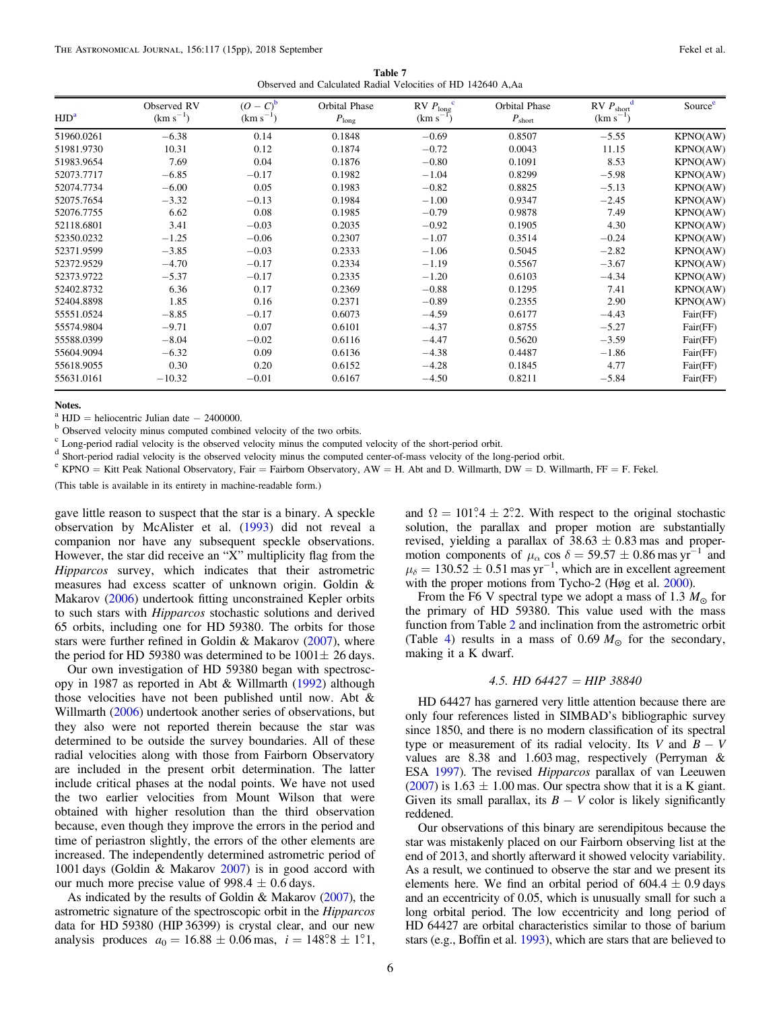Table 7 Observed and Calculated Radial Velocities of HD 142640 A,Aa

<span id="page-6-0"></span>

| HJD <sup>a</sup> | Observed RV<br>$(km s^{-1})$ | $(O - C)^b$<br>$(km s^{-1})$ | Orbital Phase<br>$P_{\text{long}}$ | $RV P_{long}^c$<br>$(km s^{-1})$ | Orbital Phase<br>$P_{\text{short}}$ | $RV P_{short}^d$<br>$(km s^{-1})$ | Source <sup>e</sup> |
|------------------|------------------------------|------------------------------|------------------------------------|----------------------------------|-------------------------------------|-----------------------------------|---------------------|
| 51960.0261       | $-6.38$                      | 0.14                         | 0.1848                             | $-0.69$                          | 0.8507                              | $-5.55$                           | KPNO(AW)            |
| 51981.9730       | 10.31                        | 0.12                         | 0.1874                             | $-0.72$                          | 0.0043                              | 11.15                             | KPNO(AW)            |
| 51983.9654       | 7.69                         | 0.04                         | 0.1876                             | $-0.80$                          | 0.1091                              | 8.53                              | KPNO(AW)            |
| 52073.7717       | $-6.85$                      | $-0.17$                      | 0.1982                             | $-1.04$                          | 0.8299                              | $-5.98$                           | KPNO(AW)            |
| 52074.7734       | $-6.00$                      | 0.05                         | 0.1983                             | $-0.82$                          | 0.8825                              | $-5.13$                           | KPNO(AW)            |
| 52075.7654       | $-3.32$                      | $-0.13$                      | 0.1984                             | $-1.00$                          | 0.9347                              | $-2.45$                           | KPNO(AW)            |
| 52076.7755       | 6.62                         | 0.08                         | 0.1985                             | $-0.79$                          | 0.9878                              | 7.49                              | KPNO(AW)            |
| 52118.6801       | 3.41                         | $-0.03$                      | 0.2035                             | $-0.92$                          | 0.1905                              | 4.30                              | KPNO(AW)            |
| 52350.0232       | $-1.25$                      | $-0.06$                      | 0.2307                             | $-1.07$                          | 0.3514                              | $-0.24$                           | KPNO(AW)            |
| 52371.9599       | $-3.85$                      | $-0.03$                      | 0.2333                             | $-1.06$                          | 0.5045                              | $-2.82$                           | KPNO(AW)            |
| 52372.9529       | $-4.70$                      | $-0.17$                      | 0.2334                             | $-1.19$                          | 0.5567                              | $-3.67$                           | KPNO(AW)            |
| 52373.9722       | $-5.37$                      | $-0.17$                      | 0.2335                             | $-1.20$                          | 0.6103                              | $-4.34$                           | KPNO(AW)            |
| 52402.8732       | 6.36                         | 0.17                         | 0.2369                             | $-0.88$                          | 0.1295                              | 7.41                              | KPNO(AW)            |
| 52404.8898       | 1.85                         | 0.16                         | 0.2371                             | $-0.89$                          | 0.2355                              | 2.90                              | KPNO(AW)            |
| 55551.0524       | $-8.85$                      | $-0.17$                      | 0.6073                             | $-4.59$                          | 0.6177                              | $-4.43$                           | Fair(FF)            |
| 55574.9804       | $-9.71$                      | 0.07                         | 0.6101                             | $-4.37$                          | 0.8755                              | $-5.27$                           | Fair(FF)            |
| 55588.0399       | $-8.04$                      | $-0.02$                      | 0.6116                             | $-4.47$                          | 0.5620                              | $-3.59$                           | Fair(FF)            |
| 55604.9094       | $-6.32$                      | 0.09                         | 0.6136                             | $-4.38$                          | 0.4487                              | $-1.86$                           | Fair(FF)            |
| 55618.9055       | 0.30                         | 0.20                         | 0.6152                             | $-4.28$                          | 0.1845                              | 4.77                              | Fair(FF)            |
| 55631.0161       | $-10.32$                     | $-0.01$                      | 0.6167                             | $-4.50$                          | 0.8211                              | $-5.84$                           | Fair(FF)            |

**Notes.**<br><sup>a</sup> HJD = heliocentric Julian date  $-2400000$ .

<sup>b</sup> Observed velocity minus computed combined velocity of the two orbits.

<sup>c</sup> Long-period radial velocity is the observed velocity minus the computed velocity of the short-period orbit.

<sup>d</sup> Short-period radial velocity is the observed velocity minus the computed center-of-mass velocity of the long-period orbit.<br>
<sup>e</sup> KPNO = Kitt Peak National Observatory, Fair = Fairborn Observatory, AW = H. Abt and D. Wi

(This table is available in its entirety in machine-readable form.)

gave little reason to suspect that the star is a binary. A speckle observation by McAlister et al. ([1993](#page-14-0)) did not reveal a companion nor have any subsequent speckle observations. However, the star did receive an "X" multiplicity flag from the Hipparcos survey, which indicates that their astrometric measures had excess scatter of unknown origin. Goldin & Makarov ([2006](#page-14-0)) undertook fitting unconstrained Kepler orbits to such stars with Hipparcos stochastic solutions and derived 65 orbits, including one for HD 59380. The orbits for those stars were further refined in Goldin & Makarov  $(2007)$  $(2007)$  $(2007)$ , where the period for HD 59380 was determined to be  $1001 \pm 26$  days.

Our own investigation of HD 59380 began with spectroscopy in 1987 as reported in Abt & Willmarth ([1992](#page-14-0)) although those velocities have not been published until now. Abt & Willmarth ([2006](#page-14-0)) undertook another series of observations, but they also were not reported therein because the star was determined to be outside the survey boundaries. All of these radial velocities along with those from Fairborn Observatory are included in the present orbit determination. The latter include critical phases at the nodal points. We have not used the two earlier velocities from Mount Wilson that were obtained with higher resolution than the third observation because, even though they improve the errors in the period and time of periastron slightly, the errors of the other elements are increased. The independently determined astrometric period of 1001 days (Goldin & Makarov [2007](#page-14-0)) is in good accord with our much more precise value of 998.4  $\pm$  0.6 days.

As indicated by the results of Goldin & Makarov  $(2007)$  $(2007)$  $(2007)$ , the astrometric signature of the spectroscopic orbit in the Hipparcos data for HD 59380 (HIP 36399) is crystal clear, and our new analysis produces  $a_0 = 16.88 \pm 0.06$  mas,  $i = 148^\circ.8 \pm 1^\circ.1$ , and  $\Omega = 101^{\circ}A \pm 2^{\circ}2$ . With respect to the original stochastic solution, the parallax and proper motion are substantially revised, yielding a parallax of  $38.63 \pm 0.83$  mas and propermotion components of  $\mu_{\alpha}$  cos  $\delta = 59.57 \pm 0.86$  mas yr<sup>-1</sup> and  $\mu_{\delta} = 130.52 \pm 0.51$  mas yr<sup>-1</sup>, which are in excellent agreement with the proper motions from Tycho-2 (Høg et al. [2000](#page-14-0)).

From the F6 V spectral type we adopt a mass of 1.3  $M_{\odot}$  for the primary of HD 59380. This value used with the mass function from Table [2](#page-3-0) and inclination from the astrometric orbit (Table [4](#page-4-0)) results in a mass of 0.69  $M_{\odot}$  for the secondary, making it a K dwarf.

#### 4.5. HD  $64427 = HIP 38840$

HD 64427 has garnered very little attention because there are only four references listed in SIMBAD's bibliographic survey since 1850, and there is no modern classification of its spectral type or measurement of its radial velocity. Its V and  $B - V$ values are 8.38 and 1.603 mag, respectively (Perryman & ESA [1997](#page-14-0)). The revised Hipparcos parallax of van Leeuwen ([2007](#page-15-0)) is  $1.63 \pm 1.00$  mas. Our spectra show that it is a K giant. Given its small parallax, its  $B - V$  color is likely significantly reddened.

Our observations of this binary are serendipitous because the star was mistakenly placed on our Fairborn observing list at the end of 2013, and shortly afterward it showed velocity variability. As a result, we continued to observe the star and we present its elements here. We find an orbital period of  $604.4 \pm 0.9$  days and an eccentricity of 0.05, which is unusually small for such a long orbital period. The low eccentricity and long period of HD 64427 are orbital characteristics similar to those of barium stars (e.g., Boffin et al. [1993](#page-14-0)), which are stars that are believed to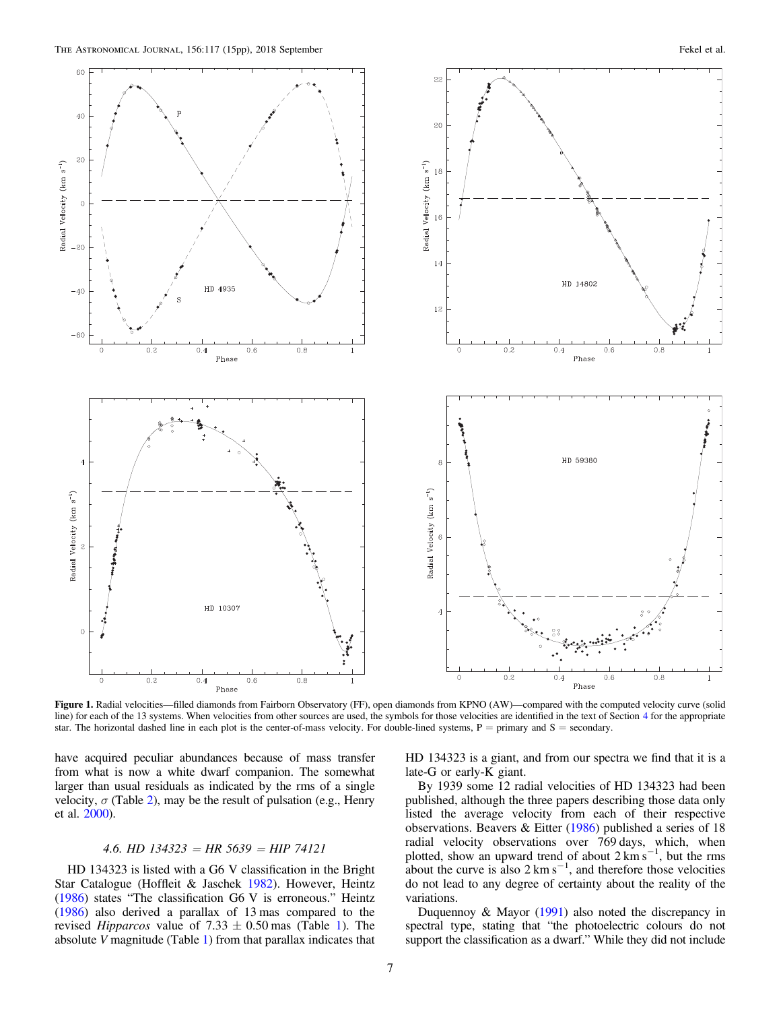<span id="page-7-0"></span>

Figure 1. Radial velocities—filled diamonds from Fairborn Observatory (FF), open diamonds from KPNO (AW)—compared with the computed velocity curve (solid line) for each of the 13 systems. When velocities from other sources are used, the symbols for those velocities are identified in the text of Section [4](#page-2-0) for the appropriate star. The horizontal dashed line in each plot is the center-of-mass velocity. For double-lined systems,  $P =$  primary and  $S =$  secondary.

have acquired peculiar abundances because of mass transfer from what is now a white dwarf companion. The somewhat larger than usual residuals as indicated by the rms of a single velocity,  $\sigma$  (Table [2](#page-3-0)), may be the result of pulsation (e.g., Henry et al. [2000](#page-14-0)).

#### 4.6. HD  $134323 = HR 5639 = HIP 74121$

HD 134323 is listed with a G6 V classification in the Bright Star Catalogue (Hoffleit & Jaschek [1982](#page-14-0)). However, Heintz ([1986](#page-14-0)) states "The classification G6 V is erroneous." Heintz ([1986](#page-14-0)) also derived a parallax of 13 mas compared to the revised *Hipparcos* value of  $7.33 \pm 0.50$  mas (Table [1](#page-2-0)). The absolute V magnitude (Table [1](#page-2-0)) from that parallax indicates that

HD 134323 is a giant, and from our spectra we find that it is a late-G or early-K giant.

By 1939 some 12 radial velocities of HD 134323 had been published, although the three papers describing those data only listed the average velocity from each of their respective observations. Beavers & Eitter ([1986](#page-14-0)) published a series of 18 radial velocity observations over 769 days, which, when plotted, show an upward trend of about  $2 \text{ km s}^{-1}$ , but the rms about the curve is also  $2 \text{ km s}^{-1}$ , and therefore those velocities do not lead to any degree of certainty about the reality of the variations.

Duquennoy & Mayor ([1991](#page-14-0)) also noted the discrepancy in spectral type, stating that "the photoelectric colours do not support the classification as a dwarf." While they did not include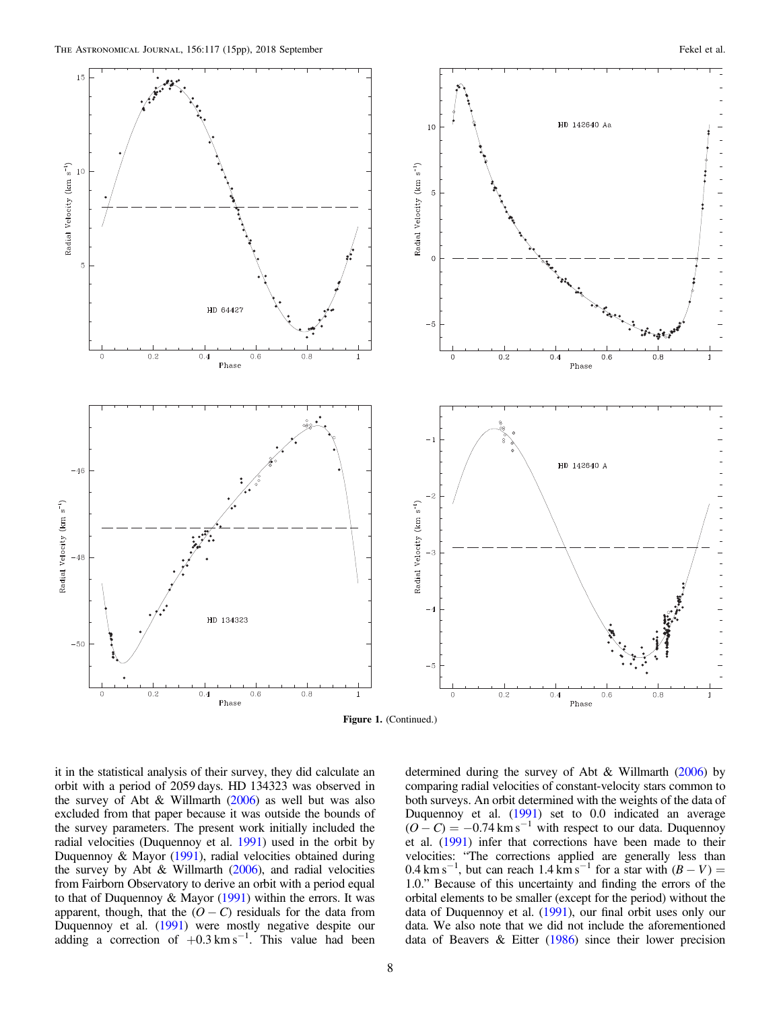

Figure 1. (Continued.)

it in the statistical analysis of their survey, they did calculate an orbit with a period of 2059 days. HD 134323 was observed in the survey of Abt & Willmarth ([2006](#page-14-0)) as well but was also excluded from that paper because it was outside the bounds of the survey parameters. The present work initially included the radial velocities (Duquennoy et al. [1991](#page-14-0)) used in the orbit by Duquennoy & Mayor ([1991](#page-14-0)), radial velocities obtained during the survey by Abt & Willmarth ([2006](#page-14-0)), and radial velocities from Fairborn Observatory to derive an orbit with a period equal to that of Duquennoy & Mayor ([1991](#page-14-0)) within the errors. It was apparent, though, that the  $(O - C)$  residuals for the data from Duquennoy et al. ([1991](#page-14-0)) were mostly negative despite our adding a correction of  $+0.3 \text{ km s}^{-1}$ . This value had been

determined during the survey of Abt & Willmarth ([2006](#page-14-0)) by comparing radial velocities of constant-velocity stars common to both surveys. An orbit determined with the weights of the data of Duquennoy et al. ([1991](#page-14-0)) set to 0.0 indicated an average  $(O - C) = -0.74 \text{ km s}^{-1}$  with respect to our data. Duquennoy et al. ([1991](#page-14-0)) infer that corrections have been made to their velocities: "The corrections applied are generally less than  $0.4 \text{ km s}^{-1}$ , but can reach 1.4 km s<sup>-1</sup> for a star with  $(B - V) =$ 1.0." Because of this uncertainty and finding the errors of the orbital elements to be smaller (except for the period) without the data of Duquennoy et al. ([1991](#page-14-0)), our final orbit uses only our data. We also note that we did not include the aforementioned data of Beavers & Eitter ([1986](#page-14-0)) since their lower precision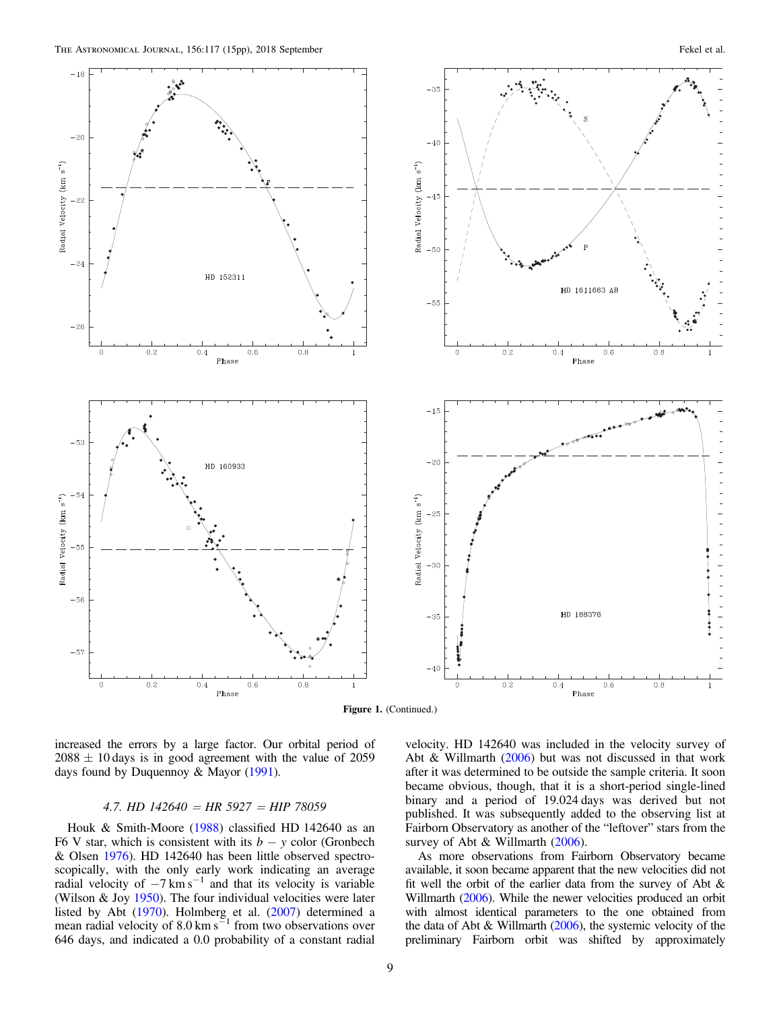

increased the errors by a large factor. Our orbital period of  $2088 \pm 10$  days is in good agreement with the value of 2059 days found by Duquennoy & Mayor ([1991](#page-14-0)).

### 4.7. HD  $142640 = HR 5927 = HIP 78059$

Houk & Smith-Moore ([1988](#page-14-0)) classified HD 142640 as an F6 V star, which is consistent with its  $b - y$  color (Gronbech & Olsen [1976](#page-14-0)). HD 142640 has been little observed spectroscopically, with the only early work indicating an average radial velocity of  $-7 \text{ km s}^{-1}$  and that its velocity is variable (Wilson & Joy [1950](#page-15-0)). The four individual velocities were later listed by Abt ([1970](#page-14-0)). Holmberg et al. ([2007](#page-14-0)) determined a mean radial velocity of  $8.0 \text{ km s}^{-1}$  from two observations over 646 days, and indicated a 0.0 probability of a constant radial

velocity. HD 142640 was included in the velocity survey of Abt & Willmarth ([2006](#page-14-0)) but was not discussed in that work after it was determined to be outside the sample criteria. It soon became obvious, though, that it is a short-period single-lined binary and a period of 19.024 days was derived but not published. It was subsequently added to the observing list at Fairborn Observatory as another of the "leftover" stars from the survey of Abt & Willmarth ([2006](#page-14-0)).

As more observations from Fairborn Observatory became available, it soon became apparent that the new velocities did not fit well the orbit of the earlier data from the survey of Abt & Willmarth ([2006](#page-14-0)). While the newer velocities produced an orbit with almost identical parameters to the one obtained from the data of Abt & Willmarth ([2006](#page-14-0)), the systemic velocity of the preliminary Fairborn orbit was shifted by approximately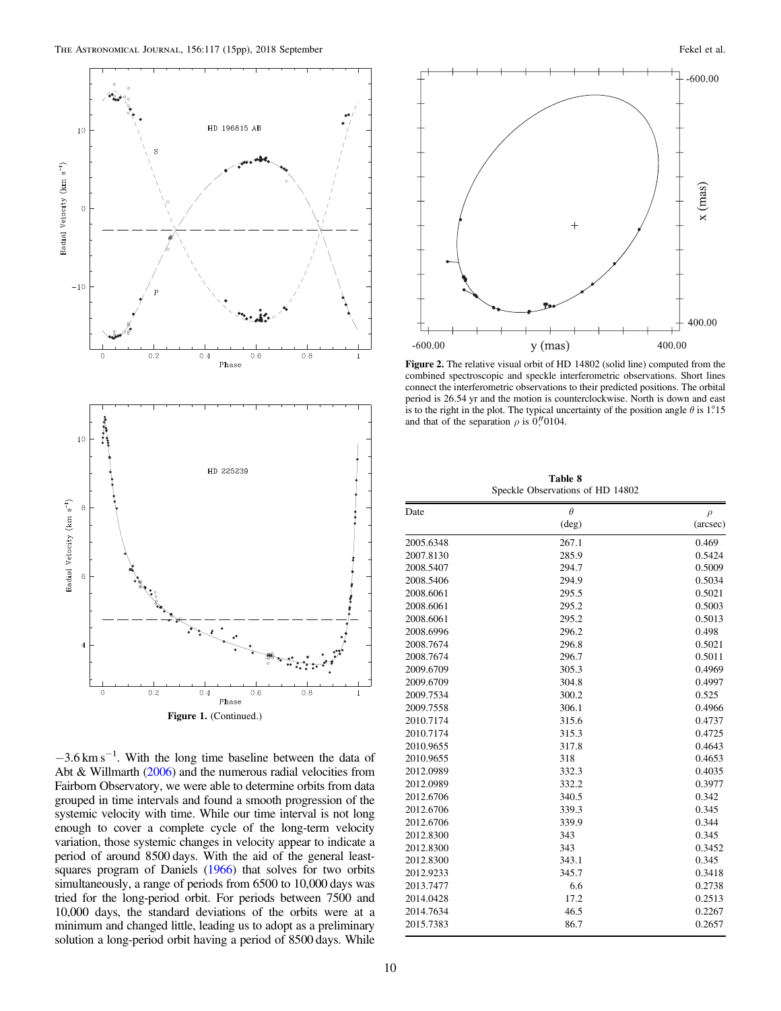<span id="page-10-0"></span>

 $-3.6 \text{ km s}^{-1}$ . With the long time baseline between the data of Abt & Willmarth ([2006](#page-14-0)) and the numerous radial velocities from Fairborn Observatory, we were able to determine orbits from data grouped in time intervals and found a smooth progression of the systemic velocity with time. While our time interval is not long enough to cover a complete cycle of the long-term velocity variation, those systemic changes in velocity appear to indicate a period of around 8500 days. With the aid of the general least-squares program of Daniels ([1966](#page-14-0)) that solves for two orbits simultaneously, a range of periods from 6500 to 10,000 days was tried for the long-period orbit. For periods between 7500 and 10,000 days, the standard deviations of the orbits were at a minimum and changed little, leading us to adopt as a preliminary solution a long-period orbit having a period of 8500 days. While



Figure 2. The relative visual orbit of HD 14802 (solid line) computed from the combined spectroscopic and speckle interferometric observations. Short lines connect the interferometric observations to their predicted positions. The orbital period is 26.54 yr and the motion is counterclockwise. North is down and east is to the right in the plot. The typical uncertainty of the position angle  $\theta$  is 1°.15 and that of the separation  $\rho$  is 0.70104.

Table 8 Speckle Observations of HD 14802

| Date      | $\theta$       | $\rho$   |
|-----------|----------------|----------|
|           | $(\text{deg})$ | (arcsec) |
| 2005.6348 | 267.1          | 0.469    |
| 2007.8130 | 285.9          | 0.5424   |
| 2008.5407 | 294.7          | 0.5009   |
| 2008.5406 | 294.9          | 0.5034   |
| 2008.6061 | 295.5          | 0.5021   |
| 2008.6061 | 295.2          | 0.5003   |
| 2008.6061 | 295.2          | 0.5013   |
| 2008.6996 | 296.2          | 0.498    |
| 2008.7674 | 296.8          | 0.5021   |
| 2008.7674 | 296.7          | 0.5011   |
| 2009.6709 | 305.3          | 0.4969   |
| 2009.6709 | 304.8          | 0.4997   |
| 2009.7534 | 300.2          | 0.525    |
| 2009.7558 | 306.1          | 0.4966   |
| 2010.7174 | 315.6          | 0.4737   |
| 2010.7174 | 315.3          | 0.4725   |
| 2010.9655 | 317.8          | 0.4643   |
| 2010.9655 | 318            | 0.4653   |
| 2012.0989 | 332.3          | 0.4035   |
| 2012.0989 | 332.2          | 0.3977   |
| 2012.6706 | 340.5          | 0.342    |
| 2012.6706 | 339.3          | 0.345    |
| 2012.6706 | 339.9          | 0.344    |
| 2012.8300 | 343            | 0.345    |
| 2012.8300 | 343            | 0.3452   |
| 2012.8300 | 343.1          | 0.345    |
| 2012.9233 | 345.7          | 0.3418   |
| 2013.7477 | 6.6            | 0.2738   |
| 2014.0428 | 17.2           | 0.2513   |
| 2014.7634 | 46.5           | 0.2267   |
| 2015.7383 | 86.7           | 0.2657   |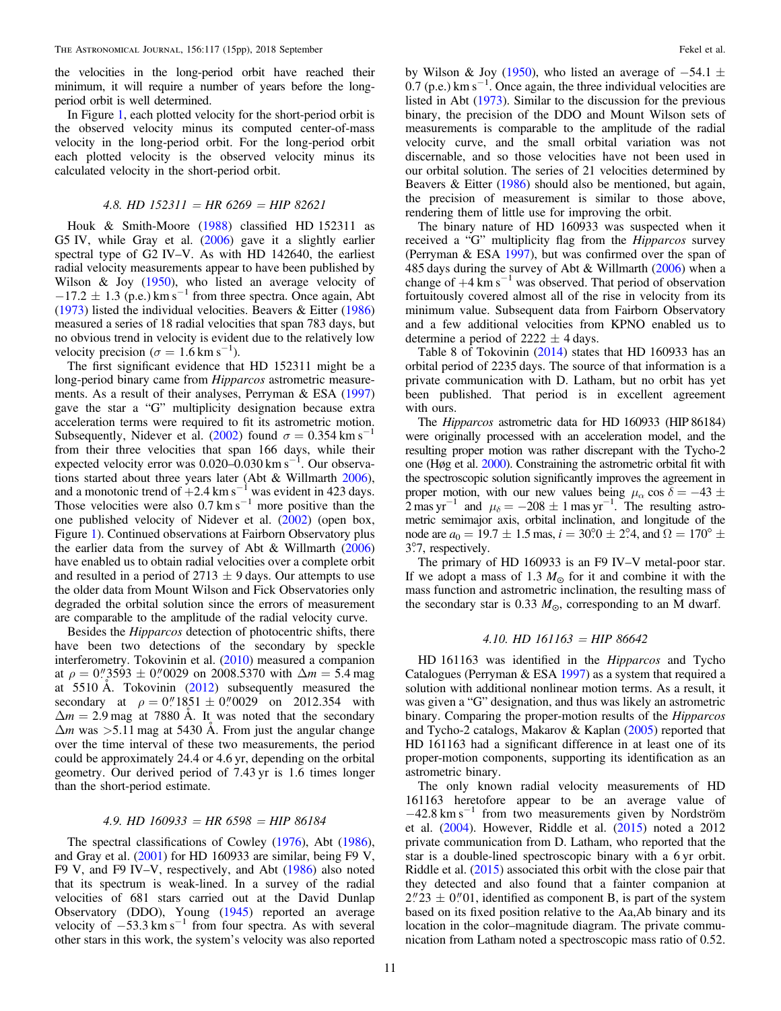the velocities in the long-period orbit have reached their minimum, it will require a number of years before the longperiod orbit is well determined.

In Figure [1,](#page-7-0) each plotted velocity for the short-period orbit is the observed velocity minus its computed center-of-mass velocity in the long-period orbit. For the long-period orbit each plotted velocity is the observed velocity minus its calculated velocity in the short-period orbit.

#### 4.8. HD  $152311 = HR 6269 = HIP 82621$

Houk & Smith-Moore ([1988](#page-14-0)) classified HD 152311 as G5 IV, while Gray et al. ([2006](#page-14-0)) gave it a slightly earlier spectral type of G2 IV–V. As with HD 142640, the earliest radial velocity measurements appear to have been published by Wilson & Joy ([1950](#page-15-0)), who listed an average velocity of  $-17.2 \pm 1.3$  (p.e.) km s<sup>-1</sup> from three spectra. Once again, Abt ([1973](#page-14-0)) listed the individual velocities. Beavers & Eitter ([1986](#page-14-0)) measured a series of 18 radial velocities that span 783 days, but no obvious trend in velocity is evident due to the relatively low velocity precision ( $\sigma = 1.6$  km s<sup>-1</sup>).

The first significant evidence that HD 152311 might be a long-period binary came from *Hipparcos* astrometric measurements. As a result of their analyses, Perryman & ESA ([1997](#page-14-0)) gave the star a "G" multiplicity designation because extra acceleration terms were required to fit its astrometric motion. Subsequently, Nidever et al. ([2002](#page-14-0)) found  $\sigma = 0.354$  km s<sup>-1</sup> from their three velocities that span 166 days, while their expected velocity error was 0.020–0.030 km s<sup>-1</sup>. Our observa-tions started about three years later (Abt & Willmarth [2006](#page-14-0)), and a monotonic trend of  $+2.4 \text{ km s}^{-1}$  was evident in 423 days. Those velocities were also  $0.7 \text{ km s}^{-1}$  more positive than the one published velocity of Nidever et al. ([2002](#page-14-0)) (open box, Figure [1](#page-7-0)). Continued observations at Fairborn Observatory plus the earlier data from the survey of Abt & Willmarth ([2006](#page-14-0)) have enabled us to obtain radial velocities over a complete orbit and resulted in a period of 2713  $\pm$  9 days. Our attempts to use the older data from Mount Wilson and Fick Observatories only degraded the orbital solution since the errors of measurement are comparable to the amplitude of the radial velocity curve.

Besides the *Hipparcos* detection of photocentric shifts, there have been two detections of the secondary by speckle interferometry. Tokovinin et al. ([2010](#page-14-0)) measured a companion at  $\rho = 0$ . 3593  $\pm$  0. 0029 on 2008.5370 with  $\Delta m = 5.4$  mag at 5510 Å. Tokovinin ([2012](#page-14-0)) subsequently measured the secondary at  $\rho = 0''1851 \pm 0''0029$  on 2012.354 with  $\Delta m = 2.9$  mag at 7880 Å. It was noted that the secondary  $\Delta m$  was >5.11 mag at 5430 A. From just the angular change over the time interval of these two measurements, the period could be approximately 24.4 or 4.6 yr, depending on the orbital geometry. Our derived period of 7.43 yr is 1.6 times longer than the short-period estimate.

#### 4.9. HD  $160933 = HR 6598 = HIP 86184$

The spectral classifications of Cowley ([1976](#page-14-0)), Abt ([1986](#page-14-0)), and Gray et al. ([2001](#page-14-0)) for HD 160933 are similar, being F9 V, F9 V, and F9 IV–V, respectively, and Abt ([1986](#page-14-0)) also noted that its spectrum is weak-lined. In a survey of the radial velocities of 681 stars carried out at the David Dunlap Observatory (DDO), Young ([1945](#page-15-0)) reported an average velocity of  $-53.3 \text{ km s}^{-1}$  from four spectra. As with several other stars in this work, the system's velocity was also reported

by Wilson & Joy ([1950](#page-15-0)), who listed an average of  $-54.1 \pm$  $0.7$  (p.e.) km s<sup>-1</sup>. Once again, the three individual velocities are listed in Abt ([1973](#page-14-0)). Similar to the discussion for the previous binary, the precision of the DDO and Mount Wilson sets of measurements is comparable to the amplitude of the radial velocity curve, and the small orbital variation was not discernable, and so those velocities have not been used in our orbital solution. The series of 21 velocities determined by Beavers & Eitter ([1986](#page-14-0)) should also be mentioned, but again, the precision of measurement is similar to those above, rendering them of little use for improving the orbit.

The binary nature of HD 160933 was suspected when it received a "G" multiplicity flag from the Hipparcos survey (Perryman & ESA [1997](#page-14-0)), but was confirmed over the span of 485 days during the survey of Abt & Willmarth ([2006](#page-14-0)) when a change of  $+4 \text{ km s}^{-1}$  was observed. That period of observation fortuitously covered almost all of the rise in velocity from its minimum value. Subsequent data from Fairborn Observatory and a few additional velocities from KPNO enabled us to determine a period of  $2222 \pm 4$  days.

Table 8 of Tokovinin ([2014](#page-14-0)) states that HD 160933 has an orbital period of 2235 days. The source of that information is a private communication with D. Latham, but no orbit has yet been published. That period is in excellent agreement with ours.

The Hipparcos astrometric data for HD 160933 (HIP 86184) were originally processed with an acceleration model, and the resulting proper motion was rather discrepant with the Tycho-2 one (Høg et al. [2000](#page-14-0)). Constraining the astrometric orbital fit with the spectroscopic solution significantly improves the agreement in proper motion, with our new values being  $\mu_{\alpha}$  cos  $\delta = -43 \pm$  $2 \text{ mas yr}^{-1}$  and  $\mu_{\delta} = -208 \pm 1 \text{ mas yr}^{-1}$ . The resulting astrometric semimajor axis, orbital inclination, and longitude of the node are  $a_0 = 19.7 \pm 1.5$  mas,  $i = 30^{\circ}$   $0 \pm 2^{\circ}$  and  $\Omega = 170^{\circ} \pm 1.5$ 3°.7, respectively.

The primary of HD 160933 is an F9 IV–V metal-poor star. If we adopt a mass of 1.3  $M_{\odot}$  for it and combine it with the mass function and astrometric inclination, the resulting mass of the secondary star is 0.33  $M_{\odot}$ , corresponding to an M dwarf.

#### 4.10. HD  $161163 = HIP 86642$

HD 161163 was identified in the Hipparcos and Tycho Catalogues (Perryman & ESA [1997](#page-14-0)) as a system that required a solution with additional nonlinear motion terms. As a result, it was given a "G" designation, and thus was likely an astrometric binary. Comparing the proper-motion results of the *Hipparcos* and Tycho-2 catalogs, Makarov & Kaplan ([2005](#page-14-0)) reported that HD 161163 had a significant difference in at least one of its proper-motion components, supporting its identification as an astrometric binary.

The only known radial velocity measurements of HD 161163 heretofore appear to be an average value of  $-42.8 \text{ km s}^{-1}$  from two measurements given by Nordström et al. ([2004](#page-14-0)). However, Riddle et al. ([2015](#page-14-0)) noted a 2012 private communication from D. Latham, who reported that the star is a double-lined spectroscopic binary with a 6 yr orbit. Riddle et al. ([2015](#page-14-0)) associated this orbit with the close pair that they detected and also found that a fainter companion at  $2''23 \pm 0''01$ , identified as component B, is part of the system based on its fixed position relative to the Aa,Ab binary and its location in the color–magnitude diagram. The private communication from Latham noted a spectroscopic mass ratio of 0.52.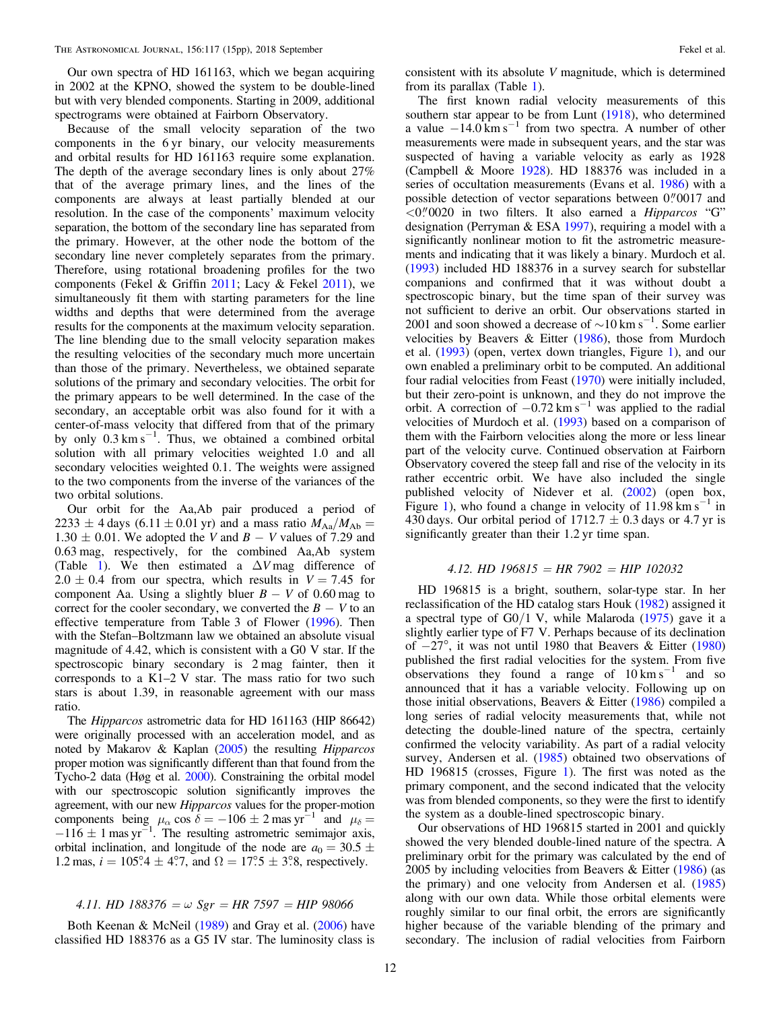Our own spectra of HD 161163, which we began acquiring in 2002 at the KPNO, showed the system to be double-lined but with very blended components. Starting in 2009, additional spectrograms were obtained at Fairborn Observatory.

Because of the small velocity separation of the two components in the 6 yr binary, our velocity measurements and orbital results for HD 161163 require some explanation. The depth of the average secondary lines is only about 27% that of the average primary lines, and the lines of the components are always at least partially blended at our resolution. In the case of the components' maximum velocity separation, the bottom of the secondary line has separated from the primary. However, at the other node the bottom of the secondary line never completely separates from the primary. Therefore, using rotational broadening profiles for the two components (Fekel & Griffin [2011;](#page-14-0) Lacy & Fekel [2011](#page-14-0)), we simultaneously fit them with starting parameters for the line widths and depths that were determined from the average results for the components at the maximum velocity separation. The line blending due to the small velocity separation makes the resulting velocities of the secondary much more uncertain than those of the primary. Nevertheless, we obtained separate solutions of the primary and secondary velocities. The orbit for the primary appears to be well determined. In the case of the secondary, an acceptable orbit was also found for it with a center-of-mass velocity that differed from that of the primary by only  $0.3 \text{ km s}^{-1}$ . Thus, we obtained a combined orbital solution with all primary velocities weighted 1.0 and all secondary velocities weighted 0.1. The weights were assigned to the two components from the inverse of the variances of the two orbital solutions.

Our orbit for the Aa,Ab pair produced a period of 2233  $\pm$  4 days (6.11  $\pm$  0.01 yr) and a mass ratio  $M_{\rm Aa}/M_{\rm Ab} =$  $1.30 \pm 0.01$ . We adopted the V and B – V values of 7.29 and 0.63 mag, respectively, for the combined Aa,Ab system (Table [1](#page-2-0)). We then estimated a  $\Delta V$  mag difference of  $2.0 \pm 0.4$  from our spectra, which results in  $V = 7.45$  for component Aa. Using a slightly bluer  $B - V$  of 0.60 mag to correct for the cooler secondary, we converted the  $B - V$  to an effective temperature from Table 3 of Flower ([1996](#page-14-0)). Then with the Stefan–Boltzmann law we obtained an absolute visual magnitude of 4.42, which is consistent with a G0 V star. If the spectroscopic binary secondary is 2 mag fainter, then it corresponds to a K1–2 V star. The mass ratio for two such stars is about 1.39, in reasonable agreement with our mass ratio.

The *Hipparcos* astrometric data for HD 161163 (HIP 86642) were originally processed with an acceleration model, and as noted by Makarov & Kaplan ([2005](#page-14-0)) the resulting Hipparcos proper motion was significantly different than that found from the Tycho-2 data (Høg et al. [2000](#page-14-0)). Constraining the orbital model with our spectroscopic solution significantly improves the agreement, with our new *Hipparcos* values for the proper-motion components being  $\mu_{\alpha}$  cos  $\bar{\delta} = -106 \pm 2$  mas yr<sup>{-1}</sup> and  $\mu_{\delta} =$  $-116 \pm 1$  mas yr<sup> $=1$ </sup>. The resulting astrometric semimajor axis, orbital inclination, and longitude of the node are  $a_0 = 30.5 \pm 10$ 1.2 mas,  $i = 105^{\circ}4 \pm 4^{\circ}7$ , and  $\Omega = 17^{\circ}5 \pm 3^{\circ}8$ , respectively.

### 4.11. HD 188376 =  $\omega$  Sgr = HR 7597 = HIP 98066

Both Keenan & McNeil ([1989](#page-14-0)) and Gray et al. ([2006](#page-14-0)) have classified HD 188376 as a G5 IV star. The luminosity class is

consistent with its absolute V magnitude, which is determined from its parallax (Table [1](#page-2-0)).

The first known radial velocity measurements of this southern star appear to be from Lunt ([1918](#page-14-0)), who determined a value  $-14.0 \text{ km s}^{-1}$  from two spectra. A number of other measurements were made in subsequent years, and the star was suspected of having a variable velocity as early as 1928 (Campbell & Moore [1928](#page-14-0)). HD 188376 was included in a series of occultation measurements (Evans et al. [1986](#page-14-0)) with a possible detection of vector separations between  $0''/0017$  and  $\langle 0 \rangle$  = 00020 in two filters. It also earned a *Hipparcos* "G" designation (Perryman & ESA [1997](#page-14-0)), requiring a model with a significantly nonlinear motion to fit the astrometric measurements and indicating that it was likely a binary. Murdoch et al. ([1993](#page-14-0)) included HD 188376 in a survey search for substellar companions and confirmed that it was without doubt a spectroscopic binary, but the time span of their survey was not sufficient to derive an orbit. Our observations started in 2001 and soon showed a decrease of  $\sim$ 10 km s<sup>-1</sup>. Some earlier velocities by Beavers & Eitter ([1986](#page-14-0)), those from Murdoch et al. ([1993](#page-14-0)) (open, vertex down triangles, Figure [1](#page-7-0)), and our own enabled a preliminary orbit to be computed. An additional four radial velocities from Feast ([1970](#page-14-0)) were initially included, but their zero-point is unknown, and they do not improve the orbit. A correction of  $-0.72 \text{ km s}^{-1}$  was applied to the radial velocities of Murdoch et al. ([1993](#page-14-0)) based on a comparison of them with the Fairborn velocities along the more or less linear part of the velocity curve. Continued observation at Fairborn Observatory covered the steep fall and rise of the velocity in its rather eccentric orbit. We have also included the single published velocity of Nidever et al. ([2002](#page-14-0)) (open box, Figure [1](#page-7-0)), who found a change in velocity of  $11.98 \text{ km s}^{-1}$  in 430 days. Our orbital period of  $1712.7 \pm 0.3$  days or 4.7 yr is significantly greater than their 1.2 yr time span.

#### 4.12. HD 196815 = HR 7902 = HIP 102032

HD 196815 is a bright, southern, solar-type star. In her reclassification of the HD catalog stars Houk ([1982](#page-14-0)) assigned it a spectral type of  $G0/1$  V, while Malaroda  $(1975)$  $(1975)$  $(1975)$  gave it a slightly earlier type of F7 V. Perhaps because of its declination of −27°, it was not until 1980 that Beavers & Eitter ([1980](#page-14-0)) published the first radial velocities for the system. From five observations they found a range of  $10 \text{ km s}^{-1}$  and so announced that it has a variable velocity. Following up on those initial observations, Beavers & Eitter ([1986](#page-14-0)) compiled a long series of radial velocity measurements that, while not detecting the double-lined nature of the spectra, certainly confirmed the velocity variability. As part of a radial velocity survey, Andersen et al. ([1985](#page-14-0)) obtained two observations of HD 196815 (crosses, Figure [1](#page-7-0)). The first was noted as the primary component, and the second indicated that the velocity was from blended components, so they were the first to identify the system as a double-lined spectroscopic binary.

Our observations of HD 196815 started in 2001 and quickly showed the very blended double-lined nature of the spectra. A preliminary orbit for the primary was calculated by the end of 2005 by including velocities from Beavers  $\&$  Eitter ([1986](#page-14-0)) (as the primary) and one velocity from Andersen et al. ([1985](#page-14-0)) along with our own data. While those orbital elements were roughly similar to our final orbit, the errors are significantly higher because of the variable blending of the primary and secondary. The inclusion of radial velocities from Fairborn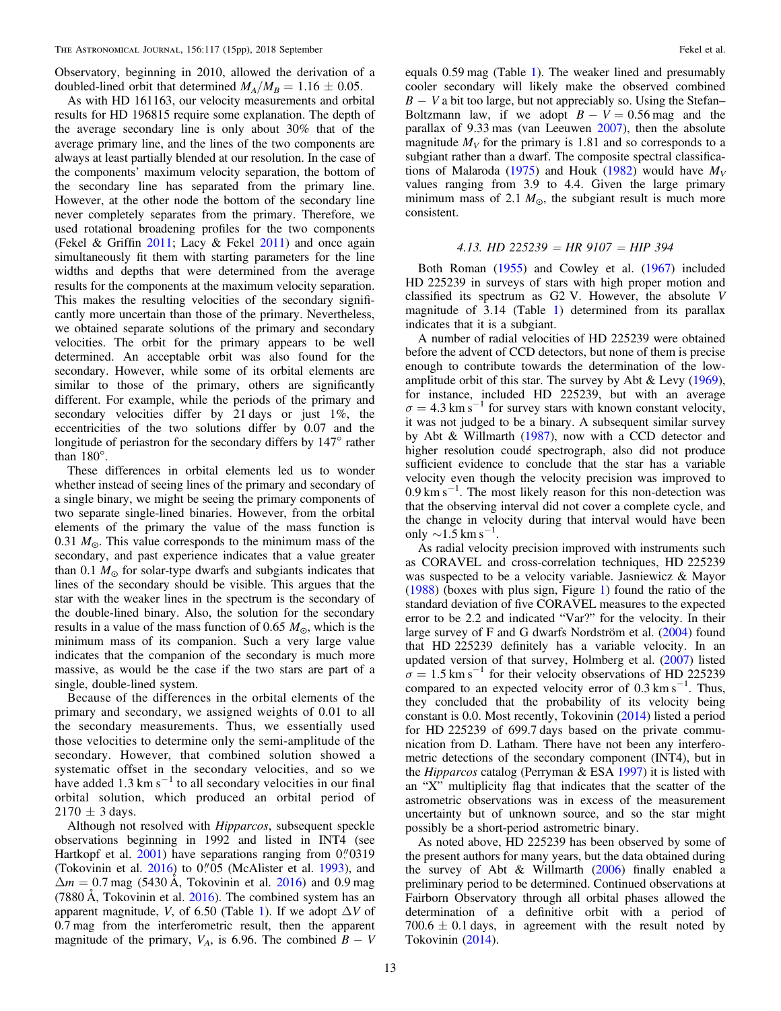Observatory, beginning in 2010, allowed the derivation of a doubled-lined orbit that determined  $M_A/M_B = 1.16 \pm 0.05$ .

As with HD 161163, our velocity measurements and orbital results for HD 196815 require some explanation. The depth of the average secondary line is only about 30% that of the average primary line, and the lines of the two components are always at least partially blended at our resolution. In the case of the components' maximum velocity separation, the bottom of the secondary line has separated from the primary line. However, at the other node the bottom of the secondary line never completely separates from the primary. Therefore, we used rotational broadening profiles for the two components (Fekel & Griffin [2011](#page-14-0); Lacy & Fekel [2011](#page-14-0)) and once again simultaneously fit them with starting parameters for the line widths and depths that were determined from the average results for the components at the maximum velocity separation. This makes the resulting velocities of the secondary significantly more uncertain than those of the primary. Nevertheless, we obtained separate solutions of the primary and secondary velocities. The orbit for the primary appears to be well determined. An acceptable orbit was also found for the secondary. However, while some of its orbital elements are similar to those of the primary, others are significantly different. For example, while the periods of the primary and secondary velocities differ by 21 days or just 1%, the eccentricities of the two solutions differ by 0.07 and the longitude of periastron for the secondary differs by 147° rather than 180°.

These differences in orbital elements led us to wonder whether instead of seeing lines of the primary and secondary of a single binary, we might be seeing the primary components of two separate single-lined binaries. However, from the orbital elements of the primary the value of the mass function is 0.31  $M_{\odot}$ . This value corresponds to the minimum mass of the secondary, and past experience indicates that a value greater than 0.1  $M_{\odot}$  for solar-type dwarfs and subgiants indicates that lines of the secondary should be visible. This argues that the star with the weaker lines in the spectrum is the secondary of the double-lined binary. Also, the solution for the secondary results in a value of the mass function of 0.65  $M_{\odot}$ , which is the minimum mass of its companion. Such a very large value indicates that the companion of the secondary is much more massive, as would be the case if the two stars are part of a single, double-lined system.

Because of the differences in the orbital elements of the primary and secondary, we assigned weights of 0.01 to all the secondary measurements. Thus, we essentially used those velocities to determine only the semi-amplitude of the secondary. However, that combined solution showed a systematic offset in the secondary velocities, and so we have added  $1.3 \text{ km s}^{-1}$  to all secondary velocities in our final orbital solution, which produced an orbital period of  $2170 \pm 3$  days.

Although not resolved with Hipparcos, subsequent speckle observations beginning in 1992 and listed in INT4 (see Hartkopf et al.  $2001$ ) have separations ranging from  $0''0319$ (Tokovinin et al.  $2016$ ) to  $0''05$  (McAlister et al. [1993](#page-14-0)), and  $\Delta m = 0.7$  mag (5430 Å, Tokovinin et al. [2016](#page-14-0)) and 0.9 mag (7880 Å, Tokovinin et al.  $2016$ ). The combined system has an apparent magnitude, V, of 6.50 (Table [1](#page-2-0)). If we adopt  $\Delta V$  of 0.7 mag from the interferometric result, then the apparent magnitude of the primary,  $V_A$ , is 6.96. The combined  $B - V$ 

equals 0.59 mag (Table [1](#page-2-0)). The weaker lined and presumably cooler secondary will likely make the observed combined  $B - V$  a bit too large, but not appreciably so. Using the Stefan– Boltzmann law, if we adopt  $B - V = 0.56$  mag and the parallax of 9.33 mas (van Leeuwen [2007](#page-15-0)), then the absolute magnitude  $M_V$  for the primary is 1.81 and so corresponds to a subgiant rather than a dwarf. The composite spectral classifica-tions of Malaroda ([1975](#page-14-0)) and Houk ([1982](#page-14-0)) would have  $M_V$ values ranging from 3.9 to 4.4. Given the large primary minimum mass of 2.1  $M_{\odot}$ , the subgiant result is much more consistent.

#### 4.13. HD 225239 = HR 9107 = HIP 394

Both Roman ([1955](#page-14-0)) and Cowley et al. ([1967](#page-14-0)) included HD 225239 in surveys of stars with high proper motion and classified its spectrum as G2 V. However, the absolute V magnitude of 3.14 (Table [1](#page-2-0)) determined from its parallax indicates that it is a subgiant.

A number of radial velocities of HD 225239 were obtained before the advent of CCD detectors, but none of them is precise enough to contribute towards the determination of the lowamplitude orbit of this star. The survey by Abt  $&$  Levy ([1969](#page-14-0)), for instance, included HD 225239, but with an average  $\sigma = 4.3$  km s<sup>-1</sup> for survey stars with known constant velocity, it was not judged to be a binary. A subsequent similar survey by Abt & Willmarth ([1987](#page-14-0)), now with a CCD detector and higher resolution coudé spectrograph, also did not produce sufficient evidence to conclude that the star has a variable velocity even though the velocity precision was improved to 0.9 km s<sup>-1</sup>. The most likely reason for this non-detection was that the observing interval did not cover a complete cycle, and the change in velocity during that interval would have been only  $\sim$ 1.5 km s<sup>-1</sup>.

As radial velocity precision improved with instruments such as CORAVEL and cross-correlation techniques, HD 225239 was suspected to be a velocity variable. Jasniewicz & Mayor ([1988](#page-14-0)) (boxes with plus sign, Figure [1](#page-7-0)) found the ratio of the standard deviation of five CORAVEL measures to the expected error to be 2.2 and indicated "Var?" for the velocity. In their large survey of F and G dwarfs Nordström et al. ([2004](#page-14-0)) found that HD 225239 definitely has a variable velocity. In an updated version of that survey, Holmberg et al. ([2007](#page-14-0)) listed  $\sigma = 1.5$  km s<sup>-1</sup> for their velocity observations of HD 225239 compared to an expected velocity error of  $0.3 \text{ km s}^{-1}$ . Thus, they concluded that the probability of its velocity being constant is 0.0. Most recently, Tokovinin ([2014](#page-14-0)) listed a period for HD 225239 of 699.7 days based on the private communication from D. Latham. There have not been any interferometric detections of the secondary component (INT4), but in the Hipparcos catalog (Perryman & ESA [1997](#page-14-0)) it is listed with an "X" multiplicity flag that indicates that the scatter of the astrometric observations was in excess of the measurement uncertainty but of unknown source, and so the star might possibly be a short-period astrometric binary.

As noted above, HD 225239 has been observed by some of the present authors for many years, but the data obtained during the survey of Abt  $&$  Willmarth ([2006](#page-14-0)) finally enabled a preliminary period to be determined. Continued observations at Fairborn Observatory through all orbital phases allowed the determination of a definitive orbit with a period of  $700.6 \pm 0.1$  days, in agreement with the result noted by Tokovinin ([2014](#page-14-0)).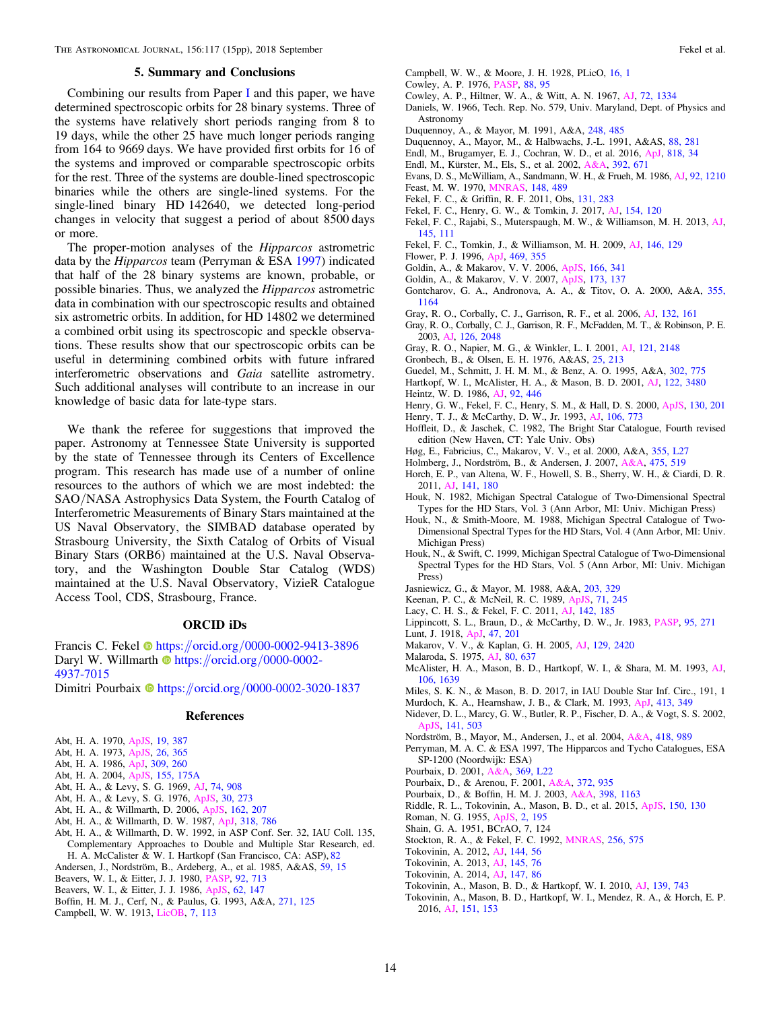#### 5. Summary and Conclusions

<span id="page-14-0"></span>Combining our results from Paper [I](#page-15-0) and this paper, we have determined spectroscopic orbits for 28 binary systems. Three of the systems have relatively short periods ranging from 8 to 19 days, while the other 25 have much longer periods ranging from 164 to 9669 days. We have provided first orbits for 16 of the systems and improved or comparable spectroscopic orbits for the rest. Three of the systems are double-lined spectroscopic binaries while the others are single-lined systems. For the single-lined binary HD 142640, we detected long-period changes in velocity that suggest a period of about 8500 days or more.

The proper-motion analyses of the *Hipparcos* astrometric data by the Hipparcos team (Perryman & ESA 1997) indicated that half of the 28 binary systems are known, probable, or possible binaries. Thus, we analyzed the Hipparcos astrometric data in combination with our spectroscopic results and obtained six astrometric orbits. In addition, for HD 14802 we determined a combined orbit using its spectroscopic and speckle observations. These results show that our spectroscopic orbits can be useful in determining combined orbits with future infrared interferometric observations and Gaia satellite astrometry. Such additional analyses will contribute to an increase in our knowledge of basic data for late-type stars.

We thank the referee for suggestions that improved the paper. Astronomy at Tennessee State University is supported by the state of Tennessee through its Centers of Excellence program. This research has made use of a number of online resources to the authors of which we are most indebted: the SAO/NASA Astrophysics Data System, the Fourth Catalog of Interferometric Measurements of Binary Stars maintained at the US Naval Observatory, the SIMBAD database operated by Strasbourg University, the Sixth Catalog of Orbits of Visual Binary Stars (ORB6) maintained at the U.S. Naval Observatory, and the Washington Double Star Catalog (WDS) maintained at the U.S. Naval Observatory, VizieR Catalogue Access Tool, CDS, Strasbourg, France.

#### ORCID iDs

Francis C. Fekel  $\bullet$  [https:](https://orcid.org/0000-0002-9413-3896)//orcid.org/[0000-0002-9413-3896](https://orcid.org/0000-0002-9413-3896) Daryl W. Willmart[h](https://orcid.org/0000-0002-4937-7015)  $\bullet$  [https:](https://orcid.org/0000-0002-4937-7015)//orcid.org/[0000-0002-](https://orcid.org/0000-0002-4937-7015) [4937-7015](https://orcid.org/0000-0002-4937-7015) Dimitri Pourbaix **[https:](https://orcid.org/0000-0002-3020-1837)//orcid.org/[0000-0002-3020-1837](https://orcid.org/0000-0002-3020-1837)** 

#### **References**

- Abt, H. A. 1970, [ApJS,](https://doi.org/10.1086/190215) [19, 387](http://adsabs.harvard.edu/abs/1970ApJS...19..387A)
- Abt, H. A. 1973, [ApJS,](https://doi.org/10.1086/190285) [26, 365](http://adsabs.harvard.edu/abs/1973ApJS...26..365A)
- Abt, H. A. 1986, [ApJ,](https://doi.org/10.1086/164597) [309, 260](http://adsabs.harvard.edu/abs/1986ApJ...309..260A)
- Abt, H. A. 2004, [ApJS,](https://doi.org/10.1086/423803) [155, 175A](http://adsabs.harvard.edu/abs/2004ApJS..155..175A)
- Abt, H. A., & Levy, S. G. 1969, [AJ,](https://doi.org/10.1086/110880) [74, 908](http://adsabs.harvard.edu/abs/1969AJ.....74..908A)
- Abt, H. A., & Levy, S. G. 1976, [ApJS](https://doi.org/10.1086/190363), [30, 273](http://adsabs.harvard.edu/abs/1976ApJS...30..273A)
- Abt, H. A., & Willmarth, D. 2006, [ApJS](https://doi.org/10.1086/498095), [162, 207](http://adsabs.harvard.edu/abs/2006ApJS..162..207A)
- Abt, H. A., & Willmarth, D. W. 1987, [ApJ,](https://doi.org/10.1086/165411) [318, 786](http://adsabs.harvard.edu/abs/1987ApJ...318..786A)
- Abt, H. A., & Willmarth, D. W. 1992, in ASP Conf. Ser. 32, IAU Coll. 135, Complementary Approaches to Double and Multiple Star Research, ed. H. A. McCalister & W. I. Hartkopf (San Francisco, CA: ASP), [82](http://adsabs.harvard.edu/abs/1992IAUCo.135...82A)
- Andersen, J., Nordström, B., Ardeberg, A., et al. 1985, A&AS, [59, 15](http://adsabs.harvard.edu/abs/1985A&AS...59...15A)
- Beavers, W. I., & Eitter, J. J. 1980, [PASP](https://doi.org/10.1086/130735), [92, 713](http://adsabs.harvard.edu/abs/1980PASP...92..713B)
- Beavers, W. I., & Eitter, J. J. 1986, [ApJS](https://doi.org/10.1086/191136), [62, 147](http://adsabs.harvard.edu/abs/1986ApJS...62..147B)
- Boffin, H. M. J., Cerf, N., & Paulus, G. 1993, A&A, [271, 125](http://adsabs.harvard.edu/abs/1993A&A...271..125B)
- Campbell, W. W. 1913, [LicOB,](https://doi.org/10.5479/ADS/bib/1913LicOB.7.113C) [7, 113](http://adsabs.harvard.edu/abs/1913LicOB...7..113C)
- Campbell, W. W., & Moore, J. H. 1928, PLicO, [16, 1](http://adsabs.harvard.edu/abs/1928PLicO..16....1C)
- Cowley, A. P. 1976, [PASP](https://doi.org/10.1086/129905), [88, 95](http://adsabs.harvard.edu/abs/1976PASP...88...95C)
- Cowley, A. P., Hiltner, W. A., & Witt, A. N. 1967, [AJ,](https://doi.org/10.1086/110413) [72, 1334](http://adsabs.harvard.edu/abs/1967AJ.....72.1334C)
- Daniels, W. 1966, Tech. Rep. No. 579, Univ. Maryland, Dept. of Physics and Astronomy
- Duquennoy, A., & Mayor, M. 1991, A&A, [248, 485](http://adsabs.harvard.edu/abs/1991A&A...248..485D)
- Duquennoy, A., Mayor, M., & Halbwachs, J.-L. 1991, A&AS, [88, 281](http://adsabs.harvard.edu/abs/1991A&AS...88..281D)
- Endl, M., Brugamyer, E. J., Cochran, W. D., et al. 2016, [ApJ,](https://doi.org/10.3847/0004-637X/818/1/34) [818, 34](http://adsabs.harvard.edu/abs/2016ApJ...818...34E)
- Endl, M., Kürster, M., Els, S., et al. 2002, [A&A,](https://doi.org/10.1051/0004-6361:20020937) [392, 671](http://adsabs.harvard.edu/abs/2002A&A...392..671E)
	- Evans, D. S., McWilliam, A., Sandmann, W. H., & Frueh, M. 1986, [AJ](https://doi.org/10.1086/114254), [92, 1210](http://adsabs.harvard.edu/abs/1986AJ.....92.1210E) Feast, M. W. 1970, [MNRAS,](https://doi.org/10.1093/mnras/148.4.489) [148, 489](http://adsabs.harvard.edu/abs/1970MNRAS.148..489F)
	- Fekel, F. C., & Griffin, R. F. 2011, Obs, [131, 283](http://adsabs.harvard.edu/abs/2011Obs...131..283F)
	- Fekel, F. C., Henry, G. W., & Tomkin, J. 2017, [AJ,](https://doi.org/10.3847/1538-3881/aa816e) [154, 120](http://adsabs.harvard.edu/abs/2017AJ....154..120F)
	- Fekel, F. C., Rajabi, S., Muterspaugh, M. W., & Williamson, M. H. 2013, [AJ](https://doi.org/10.1088/0004-6256/145/4/111)[,](http://adsabs.harvard.edu/abs/2013AJ....145..111F) [145, 111](http://adsabs.harvard.edu/abs/2013AJ....145..111F)
	- Fekel, F. C., Tomkin, J., & Williamson, M. H. 2009, [AJ](https://doi.org/10.1088/0004-6256/146/5/129), [146, 129](http://adsabs.harvard.edu/abs/2013AJ....146..129F)
	- Flower, P. J. 1996, [ApJ](https://doi.org/10.1086/177785), [469, 355](http://adsabs.harvard.edu/abs/1996ApJ...469..355F)
	- Goldin, A., & Makarov, V. V. 2006, [ApJS](https://doi.org/10.1086/505939), [166, 341](http://adsabs.harvard.edu/abs/2006ApJS..166..341G)
	- Goldin, A., & Makarov, V. V. 2007, [ApJS](https://doi.org/10.1086/520513), [173, 137](http://adsabs.harvard.edu/abs/2007ApJS..173..137G)
	- Gontcharov, G. A., Andronova, A. A., & Titov, O. A. 2000, A&A, [355,](http://adsabs.harvard.edu/abs/2000A&A...355.1164G) [1164](http://adsabs.harvard.edu/abs/2000A&A...355.1164G)
	- Gray, R. O., Corbally, C. J., Garrison, R. F., et al. 2006, [AJ,](https://doi.org/10.1086/504637) [132, 161](http://adsabs.harvard.edu/abs/2006AJ....132..161G)
	- Gray, R. O., Corbally, C. J., Garrison, R. F., McFadden, M. T., & Robinson, P. E. 2003, [AJ,](https://doi.org/10.1086/378365) [126, 2048](http://adsabs.harvard.edu/abs/2003AJ....126.2048G)
	- Gray, R. O., Napier, M. G., & Winkler, L. I. 2001, [AJ](https://doi.org/10.1086/319956), [121, 2148](http://adsabs.harvard.edu/abs/2001AJ....121.2148G)
	- Gronbech, B., & Olsen, E. H. 1976, A&AS, [25, 213](http://adsabs.harvard.edu/abs/1976A&AS...25..213G)
	- Guedel, M., Schmitt, J. H. M. M., & Benz, A. O. 1995, A&A, [302, 775](http://adsabs.harvard.edu/abs/1995A&A...302..775G)
	- Hartkopf, W. I., McAlister, H. A., & Mason, B. D. 2001, [AJ](https://doi.org/10.1086/323923), [122, 3480](http://adsabs.harvard.edu/abs/2001AJ....122.3480H) Heintz, W. D. 1986, [AJ](https://doi.org/10.1086/114173), [92, 446](http://adsabs.harvard.edu/abs/1986AJ.....92..446H)
	- Henry, G. W., Fekel, F. C., Henry, S. M., & Hall, D. S. 2000, [ApJS](https://doi.org/10.1086/317346), [130, 201](http://adsabs.harvard.edu/abs/2000ApJS..130..201H)
	- Henry, T. J., & McCarthy, D. W., Jr. 1993, [AJ](https://doi.org/10.1086/116685), [106, 773](http://adsabs.harvard.edu/abs/1993AJ....106..773H)
	- Hoffleit, D., & Jaschek, C. 1982, The Bright Star Catalogue, Fourth revised edition (New Haven, CT: Yale Univ. Obs)
	- Høg, E., Fabricius, C., Makarov, V. V., et al. 2000, A&A, [355, L27](http://adsabs.harvard.edu/abs/2000A&A...355L..27H)
	- Holmberg, J., Nordström, B., & Andersen, J. 2007, [A&A,](https://doi.org/10.1051/0004-6361:20077221) [475, 519](http://adsabs.harvard.edu/abs/2007A&A...475..519H)
	- Horch, E. P., van Altena, W. F., Howell, S. B., Sherry, W. H., & Ciardi, D. R. 2011, [AJ](https://doi.org/10.1088/0004-6256/141/6/180), [141, 180](http://adsabs.harvard.edu/abs/2011AJ....141..180H)
	- Houk, N. 1982, Michigan Spectral Catalogue of Two-Dimensional Spectral Types for the HD Stars, Vol. 3 (Ann Arbor, MI: Univ. Michigan Press)
	- Houk, N., & Smith-Moore, M. 1988, Michigan Spectral Catalogue of Two-Dimensional Spectral Types for the HD Stars, Vol. 4 (Ann Arbor, MI: Univ. Michigan Press)
	- Houk, N., & Swift, C. 1999, Michigan Spectral Catalogue of Two-Dimensional Spectral Types for the HD Stars, Vol. 5 (Ann Arbor, MI: Univ. Michigan Press)
	- Jasniewicz, G., & Mayor, M. 1988, A&A, [203, 329](http://adsabs.harvard.edu/abs/1988A&A...203..329J)
	- Keenan, P. C., & McNeil, R. C. 1989, [ApJS,](https://doi.org/10.1086/191373) [71, 245](http://adsabs.harvard.edu/abs/1989ApJS...71..245K)
	- Lacy, C. H. S., & Fekel, F. C. 2011, [AJ](https://doi.org/10.1088/0004-6256/142/6/185), [142, 185](http://adsabs.harvard.edu/abs/2011AJ....142..185L)
	- Lippincott, S. L., Braun, D., & McCarthy, D. W., Jr. 1983, [PASP](https://doi.org/10.1086/131156), [95, 271](http://adsabs.harvard.edu/abs/1983PASP...95..271L)
	- Lunt, J. 1918, [ApJ,](https://doi.org/10.1086/142402) [47, 201](http://adsabs.harvard.edu/abs/1918ApJ....47..201L)
	- Makarov, V. V., & Kaplan, G. H. 2005, [AJ](https://doi.org/10.1086/429590), [129, 2420](http://adsabs.harvard.edu/abs/2005AJ....129.2420M)
	- Malaroda, S. 1975, [AJ](https://doi.org/10.1086/111786), [80, 637](http://adsabs.harvard.edu/abs/1975AJ.....80..637M)
- McAlister, H. A., Mason, B. D., Hartkopf, W. I., & Shara, M. M. 1993, [AJ](https://doi.org/10.1086/116753)[,](http://adsabs.harvard.edu/abs/1993AJ....106.1639M) [106, 1639](http://adsabs.harvard.edu/abs/1993AJ....106.1639M)
- Miles, S. K. N., & Mason, B. D. 2017, in IAU Double Star Inf. Circ., 191, 1
- Murdoch, K. A., Hearnshaw, J. B., & Clark, M. 1993, [ApJ](https://doi.org/10.1086/173003), [413, 349](http://adsabs.harvard.edu/abs/1993ApJ...413..349M)
- Nidever, D. L., Marcy, G. W., Butler, R. P., Fischer, D. A., & Vogt, S. S. 2002,
- [ApJS](https://doi.org/10.1086/340570), [141, 503](http://adsabs.harvard.edu/abs/2002ApJS..141..503N)
- Nordström, B., Mayor, M., Andersen, J., et al. 2004, [A&A,](https://doi.org/10.1051/0004-6361:20035959) [418, 989](http://adsabs.harvard.edu/abs/2004A&A...418..989N) Perryman, M. A. C. & ESA 1997, The Hipparcos and Tycho Catalogues, ESA
- SP-1200 (Noordwijk: ESA)
- Pourbaix, D. 2001, [A&A,](https://doi.org/10.1051/0004-6361:20010252) [369, L22](http://adsabs.harvard.edu/abs/2001A&A...369L..22P)
- Pourbaix, D., & Arenou, F. 2001, [A&A,](https://doi.org/10.1051/0004-6361:20010597) [372, 935](http://adsabs.harvard.edu/abs/2001A&A...372..935P)
- Pourbaix, D., & Boffin, H. M. J. 2003, [A&A](https://doi.org/10.1051/0004-6361:20021736), [398, 1163](http://adsabs.harvard.edu/abs/2003A&A...398.1163P)
- Riddle, R. L., Tokovinin, A., Mason, B. D., et al. 2015, [ApJS](https://doi.org/10.1088/0004-6256/150/4/130), [150, 130](http://adsabs.harvard.edu/abs/2015AJ....150..130R)
- Roman, N. G. 1955, [ApJS,](https://doi.org/10.1086/190021) [2, 195](http://adsabs.harvard.edu/abs/1955ApJS....2..195R)
- Shain, G. A. 1951, BCrAO, 7, 124
- Stockton, R. A., & Fekel, F. C. 1992, [MNRAS,](https://doi.org/10.1093/mnras/256.4.575) [256, 575](http://adsabs.harvard.edu/abs/1992MNRAS.256..575S)
- Tokovinin, A. 2012, [AJ](https://doi.org/10.1088/0004-6256/144/2/56), [144, 56](http://adsabs.harvard.edu/abs/2012AJ....144...56T)
- Tokovinin, A. 2013, [AJ](https://doi.org/10.1088/0004-6256/145/3/76), [145, 76](http://adsabs.harvard.edu/abs/2013AJ....145...76T)
- Tokovinin, A. 2014, [AJ](https://doi.org/10.1088/0004-6256/147/4/86), [147, 86](http://adsabs.harvard.edu/abs/2014AJ....147...86T)
- Tokovinin, A., Mason, B. D., & Hartkopf, W. I. 2010, [AJ](https://doi.org/10.1088/0004-6256/139/2/743), [139, 743](http://adsabs.harvard.edu/abs/2010AJ....139..743T)
- Tokovinin, A., Mason, B. D., Hartkopf, W. I., Mendez, R. A., & Horch, E. P. 2016, [AJ](https://doi.org/10.3847/0004-6256/151/6/153), [151, 153](http://adsabs.harvard.edu/abs/2016AJ....151..153T)